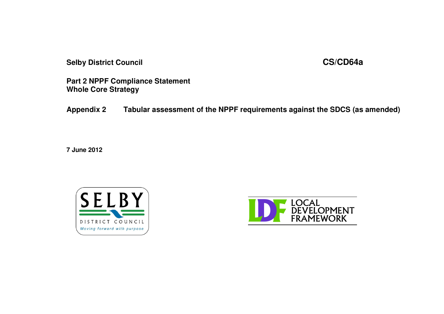**Selby District Council CS/CD64a**

**Part 2 NPPF Compliance Statement Whole Core Strategy**

**Appendix 2 Tabular assessment of the NPPF requirements against the SDCS (as amended)**

**7 June 2012**



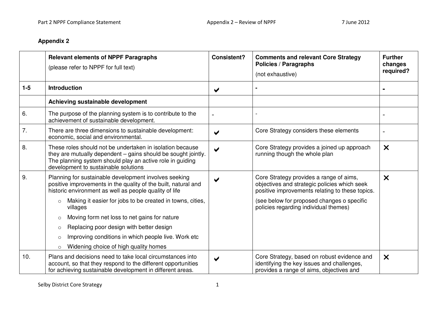## **Appendix 2**

|         | <b>Relevant elements of NPPF Paragraphs</b><br>(please refer to NPPF for full text)                                                                                                                                             | <b>Consistent?</b>    | <b>Comments and relevant Core Strategy</b><br><b>Policies / Paragraphs</b><br>(not exhaustive)                                             | <b>Further</b><br>changes<br>required? |
|---------|---------------------------------------------------------------------------------------------------------------------------------------------------------------------------------------------------------------------------------|-----------------------|--------------------------------------------------------------------------------------------------------------------------------------------|----------------------------------------|
| $1 - 5$ | <b>Introduction</b>                                                                                                                                                                                                             | $\blacktriangleright$ |                                                                                                                                            |                                        |
|         | Achieving sustainable development                                                                                                                                                                                               |                       |                                                                                                                                            |                                        |
| 6.      | The purpose of the planning system is to contribute to the<br>achievement of sustainable development.                                                                                                                           |                       |                                                                                                                                            |                                        |
| 7.      | There are three dimensions to sustainable development:<br>economic, social and environmental.                                                                                                                                   | $\blacktriangleright$ | Core Strategy considers these elements                                                                                                     |                                        |
| 8.      | These roles should not be undertaken in isolation because<br>they are mutually dependent – gains should be sought jointly.<br>The planning system should play an active role in guiding<br>development to sustainable solutions | ✔                     | Core Strategy provides a joined up approach<br>running though the whole plan                                                               | $\boldsymbol{\mathsf{X}}$              |
| 9.      | Planning for sustainable development involves seeking<br>positive improvements in the quality of the built, natural and<br>historic environment as well as people quality of life                                               | $\blacktriangleright$ | Core Strategy provides a range of aims,<br>objectives and strategic policies which seek<br>positive improvements relating to these topics. | $\boldsymbol{\times}$                  |
|         | Making it easier for jobs to be created in towns, cities,<br>$\circ$<br>villages                                                                                                                                                |                       | (see below for proposed changes o specific<br>policies regarding individual themes)                                                        |                                        |
|         | Moving form net loss to net gains for nature<br>$\circ$                                                                                                                                                                         |                       |                                                                                                                                            |                                        |
|         | Replacing poor design with better design<br>$\circ$                                                                                                                                                                             |                       |                                                                                                                                            |                                        |
|         | Improving conditions in which people live. Work etc<br>$\circ$                                                                                                                                                                  |                       |                                                                                                                                            |                                        |
|         | Widening choice of high quality homes<br>$\circ$                                                                                                                                                                                |                       |                                                                                                                                            |                                        |
| 10.     | Plans and decisions need to take local circumstances into<br>account, so that they respond to the different opportunities<br>for achieving sustainable development in different areas.                                          | ✔                     | Core Strategy, based on robust evidence and<br>identifying the key issues and challenges,<br>provides a range of aims, objectives and      | $\boldsymbol{\times}$                  |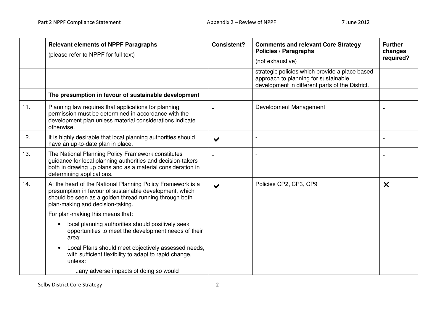|     | <b>Relevant elements of NPPF Paragraphs</b><br>(please refer to NPPF for full text)                                                                                                                                  | <b>Consistent?</b>    | <b>Comments and relevant Core Strategy</b><br><b>Policies / Paragraphs</b><br>(not exhaustive)                                            | <b>Further</b><br>changes<br>required? |
|-----|----------------------------------------------------------------------------------------------------------------------------------------------------------------------------------------------------------------------|-----------------------|-------------------------------------------------------------------------------------------------------------------------------------------|----------------------------------------|
|     |                                                                                                                                                                                                                      |                       | strategic policies which provide a place based<br>approach to planning for sustainable<br>development in different parts of the District. |                                        |
|     | The presumption in favour of sustainable development                                                                                                                                                                 |                       |                                                                                                                                           |                                        |
| 11. | Planning law requires that applications for planning<br>permission must be determined in accordance with the<br>development plan unless material considerations indicate<br>otherwise.                               |                       | Development Management                                                                                                                    |                                        |
| 12. | It is highly desirable that local planning authorities should<br>have an up-to-date plan in place.                                                                                                                   | $\blacktriangledown$  |                                                                                                                                           |                                        |
| 13. | The National Planning Policy Framework constitutes<br>guidance for local planning authorities and decision-takers<br>both in drawing up plans and as a material consideration in<br>determining applications.        |                       |                                                                                                                                           |                                        |
| 14. | At the heart of the National Planning Policy Framework is a<br>presumption in favour of sustainable development, which<br>should be seen as a golden thread running through both<br>plan-making and decision-taking. | $\blacktriangleright$ | Policies CP2, CP3, CP9                                                                                                                    | $\boldsymbol{\mathsf{x}}$              |
|     | For plan-making this means that:                                                                                                                                                                                     |                       |                                                                                                                                           |                                        |
|     | local planning authorities should positively seek<br>opportunities to meet the development needs of their<br>area;                                                                                                   |                       |                                                                                                                                           |                                        |
|     | Local Plans should meet objectively assessed needs,<br>with sufficient flexibility to adapt to rapid change,<br>unless:                                                                                              |                       |                                                                                                                                           |                                        |
|     | any adverse impacts of doing so would                                                                                                                                                                                |                       |                                                                                                                                           |                                        |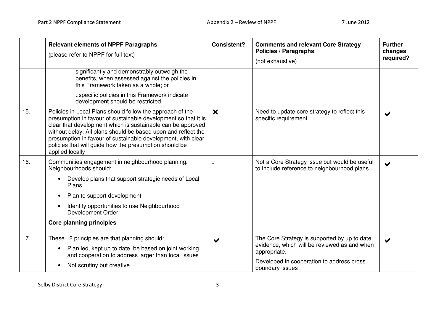|     | <b>Relevant elements of NPPF Paragraphs</b><br>(please refer to NPPF for full text)                                                                                                                                                                                                                                                                                                                      | <b>Consistent?</b>        | <b>Comments and relevant Core Strategy</b><br><b>Policies / Paragraphs</b><br>(not exhaustive)                                                                               | <b>Further</b><br>changes<br>required? |
|-----|----------------------------------------------------------------------------------------------------------------------------------------------------------------------------------------------------------------------------------------------------------------------------------------------------------------------------------------------------------------------------------------------------------|---------------------------|------------------------------------------------------------------------------------------------------------------------------------------------------------------------------|----------------------------------------|
|     | significantly and demonstrably outweigh the<br>benefits, when assessed against the policies in<br>this Framework taken as a whole; or                                                                                                                                                                                                                                                                    |                           |                                                                                                                                                                              |                                        |
|     | specific policies in this Framework indicate<br>development should be restricted.                                                                                                                                                                                                                                                                                                                        |                           |                                                                                                                                                                              |                                        |
| 15. | Policies in Local Plans should follow the approach of the<br>presumption in favour of sustainable development so that it is<br>clear that development which is sustainable can be approved<br>without delay. All plans should be based upon and reflect the<br>presumption in favour of sustainable development, with clear<br>policies that will guide how the presumption should be<br>applied locally | $\boldsymbol{\mathsf{x}}$ | Need to update core strategy to reflect this<br>specific requirement                                                                                                         | $\blacktriangleright$                  |
| 16. | Communities engagement in neighbourhood planning.<br>Neighbourhoods should:                                                                                                                                                                                                                                                                                                                              |                           | Not a Core Strategy issue but would be useful<br>to include reference to neighbourhood plans                                                                                 | ✔                                      |
|     | Develop plans that support strategic needs of Local<br>$\bullet$<br>Plans                                                                                                                                                                                                                                                                                                                                |                           |                                                                                                                                                                              |                                        |
|     | Plan to support development<br>$\bullet$                                                                                                                                                                                                                                                                                                                                                                 |                           |                                                                                                                                                                              |                                        |
|     | Identify opportunities to use Neighbourhood<br>$\bullet$<br>Development Order                                                                                                                                                                                                                                                                                                                            |                           |                                                                                                                                                                              |                                        |
|     | <b>Core planning principles</b>                                                                                                                                                                                                                                                                                                                                                                          |                           |                                                                                                                                                                              |                                        |
| 17. | These 12 principles are that planning should:<br>Plan led, kept up to date, be based on joint working<br>$\bullet$<br>and cooperation to address larger than local issues<br>Not scrutiny but creative<br>$\bullet$                                                                                                                                                                                      | ✔                         | The Core Strategy is supported by up to date<br>evidence, which will be reviewed as and when<br>appropriate.<br>Developed in cooperation to address cross<br>boundary issues | ✔                                      |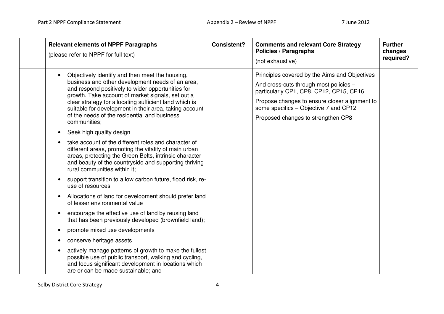| <b>Relevant elements of NPPF Paragraphs</b><br>(please refer to NPPF for full text)                                                                                                                                                                                                                                                                                                                                                                                                                                                                                                                                   | <b>Consistent?</b> | <b>Comments and relevant Core Strategy</b><br><b>Policies / Paragraphs</b><br>(not exhaustive)                                                                                                                                                                      | <b>Further</b><br>changes<br>required? |
|-----------------------------------------------------------------------------------------------------------------------------------------------------------------------------------------------------------------------------------------------------------------------------------------------------------------------------------------------------------------------------------------------------------------------------------------------------------------------------------------------------------------------------------------------------------------------------------------------------------------------|--------------------|---------------------------------------------------------------------------------------------------------------------------------------------------------------------------------------------------------------------------------------------------------------------|----------------------------------------|
| Objectively identify and then meet the housing,<br>business and other development needs of an area,<br>and respond positively to wider opportunities for<br>growth. Take account of market signals, set out a<br>clear strategy for allocating sufficient land which is<br>suitable for development in their area, taking account<br>of the needs of the residential and business<br>communities;<br>Seek high quality design<br>$\bullet$<br>take account of the different roles and character of<br>different areas, promoting the vitality of main urban<br>areas, protecting the Green Belts, intrinsic character |                    | Principles covered by the Aims and Objectives<br>And cross-cuts through most policies -<br>particularly CP1, CP8, CP12, CP15, CP16.<br>Propose changes to ensure closer alignment to<br>some specifics - Objective 7 and CP12<br>Proposed changes to strengthen CP8 |                                        |
| and beauty of the countryside and supporting thriving<br>rural communities within it:<br>support transition to a low carbon future, flood risk, re-<br>use of resources                                                                                                                                                                                                                                                                                                                                                                                                                                               |                    |                                                                                                                                                                                                                                                                     |                                        |
| Allocations of land for development should prefer land<br>of lesser environmental value                                                                                                                                                                                                                                                                                                                                                                                                                                                                                                                               |                    |                                                                                                                                                                                                                                                                     |                                        |
| encourage the effective use of land by reusing land<br>that has been previously developed (brownfield land);                                                                                                                                                                                                                                                                                                                                                                                                                                                                                                          |                    |                                                                                                                                                                                                                                                                     |                                        |
| promote mixed use developments                                                                                                                                                                                                                                                                                                                                                                                                                                                                                                                                                                                        |                    |                                                                                                                                                                                                                                                                     |                                        |
| conserve heritage assets<br>$\bullet$                                                                                                                                                                                                                                                                                                                                                                                                                                                                                                                                                                                 |                    |                                                                                                                                                                                                                                                                     |                                        |
| actively manage patterns of growth to make the fullest<br>possible use of public transport, walking and cycling,<br>and focus significant development in locations which<br>are or can be made sustainable; and                                                                                                                                                                                                                                                                                                                                                                                                       |                    |                                                                                                                                                                                                                                                                     |                                        |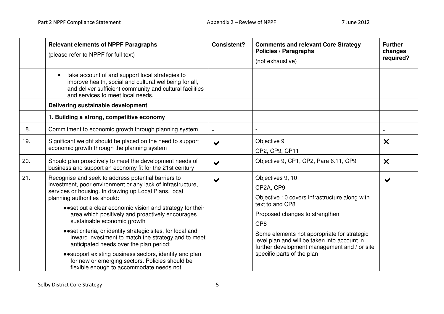|     | <b>Relevant elements of NPPF Paragraphs</b><br>(please refer to NPPF for full text)                                                                                                                                                                                                                                                                                                                                                                                                                                                                                                                                                                                                       | <b>Consistent?</b>   | <b>Comments and relevant Core Strategy</b><br><b>Policies / Paragraphs</b><br>(not exhaustive)                                                                                                                                                                                                                                      | <b>Further</b><br>changes<br>required? |
|-----|-------------------------------------------------------------------------------------------------------------------------------------------------------------------------------------------------------------------------------------------------------------------------------------------------------------------------------------------------------------------------------------------------------------------------------------------------------------------------------------------------------------------------------------------------------------------------------------------------------------------------------------------------------------------------------------------|----------------------|-------------------------------------------------------------------------------------------------------------------------------------------------------------------------------------------------------------------------------------------------------------------------------------------------------------------------------------|----------------------------------------|
|     | take account of and support local strategies to<br>improve health, social and cultural wellbeing for all,<br>and deliver sufficient community and cultural facilities<br>and services to meet local needs.                                                                                                                                                                                                                                                                                                                                                                                                                                                                                |                      |                                                                                                                                                                                                                                                                                                                                     |                                        |
|     | Delivering sustainable development                                                                                                                                                                                                                                                                                                                                                                                                                                                                                                                                                                                                                                                        |                      |                                                                                                                                                                                                                                                                                                                                     |                                        |
|     | 1. Building a strong, competitive economy                                                                                                                                                                                                                                                                                                                                                                                                                                                                                                                                                                                                                                                 |                      |                                                                                                                                                                                                                                                                                                                                     |                                        |
| 18. | Commitment to economic growth through planning system                                                                                                                                                                                                                                                                                                                                                                                                                                                                                                                                                                                                                                     |                      |                                                                                                                                                                                                                                                                                                                                     |                                        |
| 19. | Significant weight should be placed on the need to support<br>economic growth through the planning system                                                                                                                                                                                                                                                                                                                                                                                                                                                                                                                                                                                 | ✔                    | Objective 9<br>CP2, CP9, CP11                                                                                                                                                                                                                                                                                                       | $\boldsymbol{\times}$                  |
| 20. | Should plan proactively to meet the development needs of<br>business and support an economy fit for the 21st century                                                                                                                                                                                                                                                                                                                                                                                                                                                                                                                                                                      | $\blacktriangledown$ | Objective 9, CP1, CP2, Para 6.11, CP9                                                                                                                                                                                                                                                                                               | $\boldsymbol{\mathsf{x}}$              |
| 21. | Recognise and seek to address potential barriers to<br>investment, poor environment or any lack of infrastructure,<br>services or housing. In drawing up Local Plans, local<br>planning authorities should:<br>• • set out a clear economic vision and strategy for their<br>area which positively and proactively encourages<br>sustainable economic growth<br>• • set criteria, or identify strategic sites, for local and<br>inward investment to match the strategy and to meet<br>anticipated needs over the plan period;<br>• • support existing business sectors, identify and plan<br>for new or emerging sectors. Policies should be<br>flexible enough to accommodate needs not | ✔                    | Objectives 9, 10<br>CP2A, CP9<br>Objective 10 covers infrastructure along with<br>text to and CP8<br>Proposed changes to strengthen<br>CP <sub>8</sub><br>Some elements not appropriate for strategic<br>level plan and will be taken into account in<br>further development management and / or site<br>specific parts of the plan | $\blacktriangleright$                  |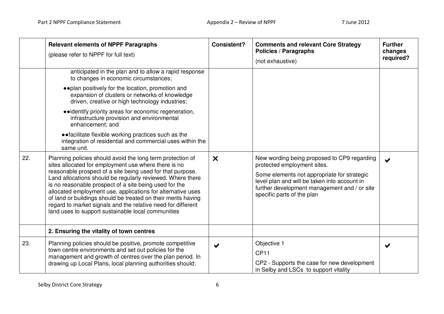|     | <b>Relevant elements of NPPF Paragraphs</b><br>(please refer to NPPF for full text)                                                                                                                                                                                                                                                                                                                                                                                                                                                                            | <b>Consistent?</b>        | <b>Comments and relevant Core Strategy</b><br><b>Policies / Paragraphs</b><br>(not exhaustive)                                                                                                                                                          | <b>Further</b><br>changes<br>required? |
|-----|----------------------------------------------------------------------------------------------------------------------------------------------------------------------------------------------------------------------------------------------------------------------------------------------------------------------------------------------------------------------------------------------------------------------------------------------------------------------------------------------------------------------------------------------------------------|---------------------------|---------------------------------------------------------------------------------------------------------------------------------------------------------------------------------------------------------------------------------------------------------|----------------------------------------|
|     | anticipated in the plan and to allow a rapid response<br>to changes in economic circumstances;                                                                                                                                                                                                                                                                                                                                                                                                                                                                 |                           |                                                                                                                                                                                                                                                         |                                        |
|     | • • plan positively for the location, promotion and<br>expansion of clusters or networks of knowledge<br>driven, creative or high technology industries;                                                                                                                                                                                                                                                                                                                                                                                                       |                           |                                                                                                                                                                                                                                                         |                                        |
|     | • identify priority areas for economic regeneration,<br>infrastructure provision and environmental<br>enhancement; and                                                                                                                                                                                                                                                                                                                                                                                                                                         |                           |                                                                                                                                                                                                                                                         |                                        |
|     | • facilitate flexible working practices such as the<br>integration of residential and commercial uses within the<br>same unit.                                                                                                                                                                                                                                                                                                                                                                                                                                 |                           |                                                                                                                                                                                                                                                         |                                        |
| 22. | Planning policies should avoid the long term protection of<br>sites allocated for employment use where there is no<br>reasonable prospect of a site being used for that purpose.<br>Land allocations should be regularly reviewed. Where there<br>is no reasonable prospect of a site being used for the<br>allocated employment use, applications for alternative uses<br>of land or buildings should be treated on their merits having<br>regard to market signals and the relative need for different<br>land uses to support sustainable local communities | $\boldsymbol{\mathsf{x}}$ | New wording being proposed to CP9 regarding<br>protected employment sites.<br>Some elements not appropriate for strategic<br>level plan and will be taken into account in<br>further development management and / or site<br>specific parts of the plan | $\blacktriangleright$                  |
|     | 2. Ensuring the vitality of town centres                                                                                                                                                                                                                                                                                                                                                                                                                                                                                                                       |                           |                                                                                                                                                                                                                                                         |                                        |
| 23. | Planning policies should be positive, promote competitive<br>town centre environments and set out policies for the<br>management and growth of centres over the plan period. In<br>drawing up Local Plans, local planning authorities should:                                                                                                                                                                                                                                                                                                                  | $\blacktriangledown$      | Objective 1<br><b>CP11</b><br>CP2 - Supports the case for new development<br>in Selby and LSCs to support vitality                                                                                                                                      | $\blacktriangledown$                   |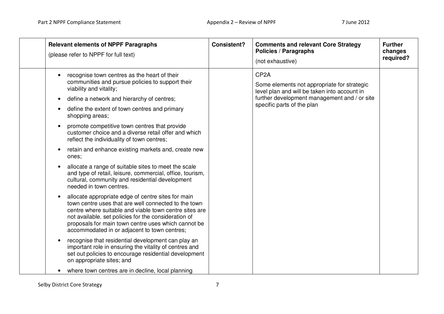| <b>Relevant elements of NPPF Paragraphs</b><br>(please refer to NPPF for full text)                                                                                                                                                                                                                                                                                                                                                                                                                                                                                                                                                                                                                                                                                                                                                                                                                                                                                                                                                                                                                                                                                                                                                            | <b>Consistent?</b> | <b>Comments and relevant Core Strategy</b><br><b>Policies / Paragraphs</b><br>(not exhaustive)                                                                                                 | <b>Further</b><br>changes<br>required? |
|------------------------------------------------------------------------------------------------------------------------------------------------------------------------------------------------------------------------------------------------------------------------------------------------------------------------------------------------------------------------------------------------------------------------------------------------------------------------------------------------------------------------------------------------------------------------------------------------------------------------------------------------------------------------------------------------------------------------------------------------------------------------------------------------------------------------------------------------------------------------------------------------------------------------------------------------------------------------------------------------------------------------------------------------------------------------------------------------------------------------------------------------------------------------------------------------------------------------------------------------|--------------------|------------------------------------------------------------------------------------------------------------------------------------------------------------------------------------------------|----------------------------------------|
| recognise town centres as the heart of their<br>communities and pursue policies to support their<br>viability and vitality;<br>define a network and hierarchy of centres;<br>$\bullet$<br>define the extent of town centres and primary<br>shopping areas;<br>promote competitive town centres that provide<br>customer choice and a diverse retail offer and which<br>reflect the individuality of town centres;<br>retain and enhance existing markets and, create new<br>ones;<br>allocate a range of suitable sites to meet the scale<br>and type of retail, leisure, commercial, office, tourism,<br>cultural, community and residential development<br>needed in town centres.<br>allocate appropriate edge of centre sites for main<br>town centre uses that are well connected to the town<br>centre where suitable and viable town centre sites are<br>not available. set policies for the consideration of<br>proposals for main town centre uses which cannot be<br>accommodated in or adjacent to town centres;<br>recognise that residential development can play an<br>$\bullet$<br>important role in ensuring the vitality of centres and<br>set out policies to encourage residential development<br>on appropriate sites; and |                    | CP <sub>2</sub> A<br>Some elements not appropriate for strategic<br>level plan and will be taken into account in<br>further development management and / or site<br>specific parts of the plan |                                        |
| where town centres are in decline, local planning                                                                                                                                                                                                                                                                                                                                                                                                                                                                                                                                                                                                                                                                                                                                                                                                                                                                                                                                                                                                                                                                                                                                                                                              |                    |                                                                                                                                                                                                |                                        |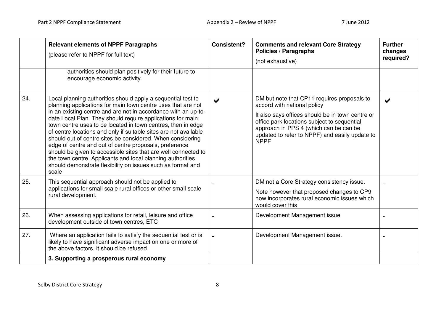|     | <b>Relevant elements of NPPF Paragraphs</b><br>(please refer to NPPF for full text)<br>authorities should plan positively for their future to<br>encourage economic activity.                                                                                                                                                                                                                                                                                                                                                                                                                                                                                                                                                    | <b>Consistent?</b>    | <b>Comments and relevant Core Strategy</b><br><b>Policies / Paragraphs</b><br>(not exhaustive)                                                                                                                                                                                           | <b>Further</b><br>changes<br>required? |
|-----|----------------------------------------------------------------------------------------------------------------------------------------------------------------------------------------------------------------------------------------------------------------------------------------------------------------------------------------------------------------------------------------------------------------------------------------------------------------------------------------------------------------------------------------------------------------------------------------------------------------------------------------------------------------------------------------------------------------------------------|-----------------------|------------------------------------------------------------------------------------------------------------------------------------------------------------------------------------------------------------------------------------------------------------------------------------------|----------------------------------------|
| 24. | Local planning authorities should apply a sequential test to<br>planning applications for main town centre uses that are not<br>in an existing centre and are not in accordance with an up-to-<br>date Local Plan. They should require applications for main<br>town centre uses to be located in town centres, then in edge<br>of centre locations and only if suitable sites are not available<br>should out of centre sites be considered. When considering<br>edge of centre and out of centre proposals, preference<br>should be given to accessible sites that are well connected to<br>the town centre. Applicants and local planning authorities<br>should demonstrate flexibility on issues such as format and<br>scale | $\blacktriangleright$ | DM but note that CP11 requires proposals to<br>accord with national policy<br>It also says offices should be in town centre or<br>office park locations subject to sequential<br>approach in PPS 4 (which can be can be<br>updated to refer to NPPF) and easily update to<br><b>NPPF</b> | $\blacktriangleright$                  |
| 25. | This sequential approach should not be applied to<br>applications for small scale rural offices or other small scale<br>rural development.                                                                                                                                                                                                                                                                                                                                                                                                                                                                                                                                                                                       |                       | DM not a Core Strategy consistency issue.<br>Note however that proposed changes to CP9<br>now incorporates rural economic issues which<br>would cover this                                                                                                                               |                                        |
| 26. | When assessing applications for retail, leisure and office<br>development outside of town centres, ETC                                                                                                                                                                                                                                                                                                                                                                                                                                                                                                                                                                                                                           |                       | Development Management issue                                                                                                                                                                                                                                                             |                                        |
| 27. | Where an application fails to satisfy the sequential test or is<br>likely to have significant adverse impact on one or more of<br>the above factors, it should be refused.                                                                                                                                                                                                                                                                                                                                                                                                                                                                                                                                                       |                       | Development Management issue.                                                                                                                                                                                                                                                            |                                        |
|     | 3. Supporting a prosperous rural economy                                                                                                                                                                                                                                                                                                                                                                                                                                                                                                                                                                                                                                                                                         |                       |                                                                                                                                                                                                                                                                                          |                                        |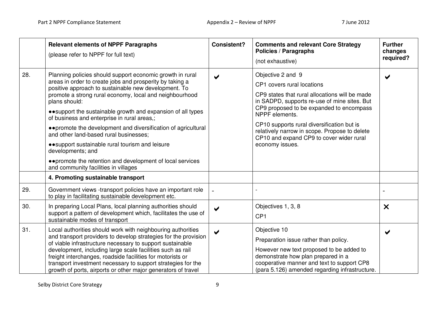|     | <b>Relevant elements of NPPF Paragraphs</b><br>(please refer to NPPF for full text)                                                                                                                                                                                                                                                                                                                                                                                                                                                                                                                                                                                     | <b>Consistent?</b>    | <b>Comments and relevant Core Strategy</b><br>Policies / Paragraphs<br>(not exhaustive)                                                                                                                                                                                                                                                                                       | <b>Further</b><br>changes<br>required? |
|-----|-------------------------------------------------------------------------------------------------------------------------------------------------------------------------------------------------------------------------------------------------------------------------------------------------------------------------------------------------------------------------------------------------------------------------------------------------------------------------------------------------------------------------------------------------------------------------------------------------------------------------------------------------------------------------|-----------------------|-------------------------------------------------------------------------------------------------------------------------------------------------------------------------------------------------------------------------------------------------------------------------------------------------------------------------------------------------------------------------------|----------------------------------------|
| 28. | Planning policies should support economic growth in rural<br>areas in order to create jobs and prosperity by taking a<br>positive approach to sustainable new development. To<br>promote a strong rural economy, local and neighbourhood<br>plans should:<br>• • support the sustainable growth and expansion of all types<br>of business and enterprise in rural areas,;<br>• • promote the development and diversification of agricultural<br>and other land-based rural businesses;<br>• • support sustainable rural tourism and leisure<br>developments; and<br>• • promote the retention and development of local services<br>and community facilities in villages |                       | Objective 2 and 9<br>CP1 covers rural locations<br>CP9 states that rural allocations will be made<br>in SADPD, supports re-use of mine sites. But<br>CP9 proposed to be expanded to encompass<br>NPPF elements.<br>CP10 supports rural diversification but is<br>relatively narrow in scope. Propose to delete<br>CP10 and expand CP9 to cover wider rural<br>economy issues. |                                        |
|     | 4. Promoting sustainable transport                                                                                                                                                                                                                                                                                                                                                                                                                                                                                                                                                                                                                                      |                       |                                                                                                                                                                                                                                                                                                                                                                               |                                        |
| 29. | Government views -transport policies have an important role<br>to play in facilitating sustainable development etc.                                                                                                                                                                                                                                                                                                                                                                                                                                                                                                                                                     |                       |                                                                                                                                                                                                                                                                                                                                                                               |                                        |
| 30. | In preparing Local Plans, local planning authorities should<br>support a pattern of development which, facilitates the use of<br>sustainable modes of transport                                                                                                                                                                                                                                                                                                                                                                                                                                                                                                         | $\blacktriangleright$ | Objectives 1, 3, 8<br>CP <sub>1</sub>                                                                                                                                                                                                                                                                                                                                         | $\boldsymbol{\mathsf{x}}$              |
| 31. | Local authorities should work with neighbouring authorities<br>and transport providers to develop strategies for the provision<br>of viable infrastructure necessary to support sustainable<br>development, including large scale facilities such as rail<br>freight interchanges, roadside facilities for motorists or<br>transport investment necessary to support strategies for the<br>growth of ports, airports or other major generators of travel                                                                                                                                                                                                                | $\blacktriangleright$ | Objective 10<br>Preparation issue rather than policy.<br>However new text proposed to be added to<br>demonstrate how plan prepared in a<br>cooperative manner and text to support CP8<br>(para 5.126) amended regarding infrastructure.                                                                                                                                       | $\blacktriangleright$                  |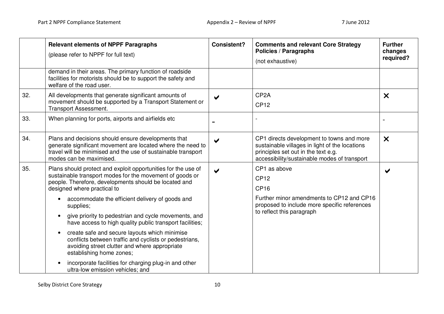|     | <b>Relevant elements of NPPF Paragraphs</b><br>(please refer to NPPF for full text)                                                                                                                                                                                                                                                                                                                | <b>Consistent?</b>    | <b>Comments and relevant Core Strategy</b><br><b>Policies / Paragraphs</b><br>(not exhaustive)                                                                                     | <b>Further</b><br>changes<br>required? |
|-----|----------------------------------------------------------------------------------------------------------------------------------------------------------------------------------------------------------------------------------------------------------------------------------------------------------------------------------------------------------------------------------------------------|-----------------------|------------------------------------------------------------------------------------------------------------------------------------------------------------------------------------|----------------------------------------|
|     | demand in their areas. The primary function of roadside<br>facilities for motorists should be to support the safety and<br>welfare of the road user.                                                                                                                                                                                                                                               |                       |                                                                                                                                                                                    |                                        |
| 32. | All developments that generate significant amounts of<br>movement should be supported by a Transport Statement or<br><b>Transport Assessment.</b>                                                                                                                                                                                                                                                  | $\blacktriangleright$ | CP <sub>2</sub> A<br><b>CP12</b>                                                                                                                                                   | $\boldsymbol{\mathsf{x}}$              |
| 33. | When planning for ports, airports and airfields etc                                                                                                                                                                                                                                                                                                                                                |                       |                                                                                                                                                                                    |                                        |
| 34. | Plans and decisions should ensure developments that<br>generate significant movement are located where the need to<br>travel will be minimised and the use of sustainable transport<br>modes can be maximised.                                                                                                                                                                                     | ✔                     | CP1 directs development to towns and more<br>sustainable villages in light of the locations<br>principles set out in the text e.g.<br>accessibility/sustainable modes of transport | $\boldsymbol{\mathsf{x}}$              |
| 35. | Plans should protect and exploit opportunities for the use of<br>sustainable transport modes for the movement of goods or<br>people. Therefore, developments should be located and<br>designed where practical to                                                                                                                                                                                  | $\blacktriangleright$ | CP1 as above<br><b>CP12</b><br><b>CP16</b>                                                                                                                                         |                                        |
|     | accommodate the efficient delivery of goods and<br>supplies;<br>give priority to pedestrian and cycle movements, and<br>$\bullet$<br>have access to high quality public transport facilities;<br>create safe and secure layouts which minimise<br>$\bullet$<br>conflicts between traffic and cyclists or pedestrians,<br>avoiding street clutter and where appropriate<br>establishing home zones; |                       | Further minor amendments to CP12 and CP16<br>proposed to include more specific references<br>to reflect this paragraph                                                             |                                        |
|     | incorporate facilities for charging plug-in and other<br>ultra-low emission vehicles; and                                                                                                                                                                                                                                                                                                          |                       |                                                                                                                                                                                    |                                        |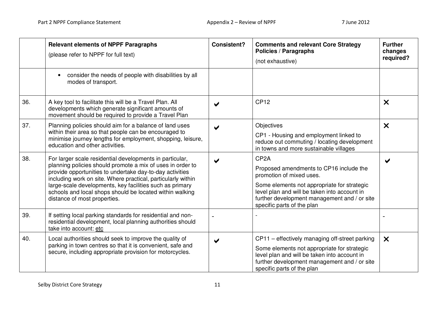|     | <b>Relevant elements of NPPF Paragraphs</b><br>(please refer to NPPF for full text)                                                                                                                                                                                                                                                                                                                        | <b>Consistent?</b>    | <b>Comments and relevant Core Strategy</b><br><b>Policies / Paragraphs</b><br>(not exhaustive)                                                                                                                                                                        | <b>Further</b><br>changes<br>required? |
|-----|------------------------------------------------------------------------------------------------------------------------------------------------------------------------------------------------------------------------------------------------------------------------------------------------------------------------------------------------------------------------------------------------------------|-----------------------|-----------------------------------------------------------------------------------------------------------------------------------------------------------------------------------------------------------------------------------------------------------------------|----------------------------------------|
|     | consider the needs of people with disabilities by all<br>modes of transport.                                                                                                                                                                                                                                                                                                                               |                       |                                                                                                                                                                                                                                                                       |                                        |
| 36. | A key tool to facilitate this will be a Travel Plan. All<br>developments which generate significant amounts of<br>movement should be required to provide a Travel Plan                                                                                                                                                                                                                                     |                       | <b>CP12</b>                                                                                                                                                                                                                                                           | $\boldsymbol{\mathsf{x}}$              |
| 37. | Planning policies should aim for a balance of land uses<br>within their area so that people can be encouraged to<br>minimise journey lengths for employment, shopping, leisure,<br>education and other activities.                                                                                                                                                                                         |                       | Objectives<br>CP1 - Housing and employment linked to<br>reduce out commuting / locating development<br>in towns and more sustainable villages                                                                                                                         | $\boldsymbol{\mathsf{x}}$              |
| 38. | For larger scale residential developments in particular,<br>planning policies should promote a mix of uses in order to<br>provide opportunities to undertake day-to-day activities<br>including work on site. Where practical, particularly within<br>large-scale developments, key facilities such as primary<br>schools and local shops should be located within walking<br>distance of most properties. | ✔                     | CP <sub>2</sub> A<br>Proposed amendments to CP16 include the<br>promotion of mixed uses.<br>Some elements not appropriate for strategic<br>level plan and will be taken into account in<br>further development management and / or site<br>specific parts of the plan | ✔                                      |
| 39. | If setting local parking standards for residential and non-<br>residential development, local planning authorities should<br>take into account: etc                                                                                                                                                                                                                                                        |                       |                                                                                                                                                                                                                                                                       |                                        |
| 40. | Local authorities should seek to improve the quality of<br>parking in town centres so that it is convenient, safe and<br>secure, including appropriate provision for motorcycles.                                                                                                                                                                                                                          | $\blacktriangleright$ | CP11 – effectively managing off-street parking<br>Some elements not appropriate for strategic<br>level plan and will be taken into account in<br>further development management and / or site<br>specific parts of the plan                                           | $\boldsymbol{\mathsf{x}}$              |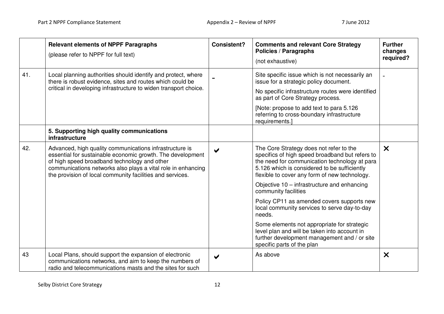|     | <b>Relevant elements of NPPF Paragraphs</b><br>(please refer to NPPF for full text)                                                                                                                                                                                                                | <b>Consistent?</b>    | <b>Comments and relevant Core Strategy</b><br><b>Policies / Paragraphs</b><br>(not exhaustive)                                                                                                                                               | <b>Further</b><br>changes<br>required? |
|-----|----------------------------------------------------------------------------------------------------------------------------------------------------------------------------------------------------------------------------------------------------------------------------------------------------|-----------------------|----------------------------------------------------------------------------------------------------------------------------------------------------------------------------------------------------------------------------------------------|----------------------------------------|
| 41. | Local planning authorities should identify and protect, where<br>there is robust evidence, sites and routes which could be                                                                                                                                                                         |                       | Site specific issue which is not necessarily an<br>issue for a strategic policy document.                                                                                                                                                    |                                        |
|     | critical in developing infrastructure to widen transport choice.                                                                                                                                                                                                                                   |                       | No specific infrastructure routes were identified<br>as part of Core Strategy process.                                                                                                                                                       |                                        |
|     |                                                                                                                                                                                                                                                                                                    |                       | [Note: propose to add text to para 5.126]<br>referring to cross-boundary infrastructure<br>requirements.]                                                                                                                                    |                                        |
|     | 5. Supporting high quality communications<br>infrastructure                                                                                                                                                                                                                                        |                       |                                                                                                                                                                                                                                              |                                        |
| 42. | Advanced, high quality communications infrastructure is<br>essential for sustainable economic growth. The development<br>of high speed broadband technology and other<br>communications networks also plays a vital role in enhancing<br>the provision of local community facilities and services. | $\blacktriangleright$ | The Core Strategy does not refer to the<br>specifics of high speed broadband but refers to<br>the need for communication technology at para<br>5.126 which is considered to be sufficiently<br>flexible to cover any form of new technology. | $\boldsymbol{\mathsf{x}}$              |
|     |                                                                                                                                                                                                                                                                                                    |                       | Objective 10 - infrastructure and enhancing<br>community facilities                                                                                                                                                                          |                                        |
|     |                                                                                                                                                                                                                                                                                                    |                       | Policy CP11 as amended covers supports new<br>local community services to serve day-to-day<br>needs.                                                                                                                                         |                                        |
|     |                                                                                                                                                                                                                                                                                                    |                       | Some elements not appropriate for strategic<br>level plan and will be taken into account in<br>further development management and / or site<br>specific parts of the plan                                                                    |                                        |
| 43  | Local Plans, should support the expansion of electronic<br>communications networks, and aim to keep the numbers of<br>radio and telecommunications masts and the sites for such                                                                                                                    |                       | As above                                                                                                                                                                                                                                     | $\boldsymbol{\mathsf{x}}$              |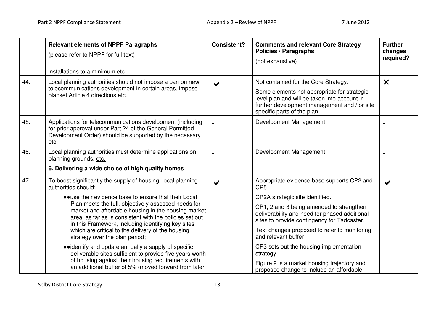|     | <b>Relevant elements of NPPF Paragraphs</b><br>(please refer to NPPF for full text)                                                                                                                                         | <b>Consistent?</b>    | <b>Comments and relevant Core Strategy</b><br><b>Policies / Paragraphs</b><br>(not exhaustive)                                                                                      | <b>Further</b><br>changes<br>required? |
|-----|-----------------------------------------------------------------------------------------------------------------------------------------------------------------------------------------------------------------------------|-----------------------|-------------------------------------------------------------------------------------------------------------------------------------------------------------------------------------|----------------------------------------|
|     | installations to a minimum etc                                                                                                                                                                                              |                       |                                                                                                                                                                                     |                                        |
| 44. | Local planning authorities should not impose a ban on new<br>telecommunications development in certain areas, impose<br>blanket Article 4 directions etc.                                                                   | $\blacktriangleright$ | Not contained for the Core Strategy.<br>Some elements not appropriate for strategic<br>level plan and will be taken into account in<br>further development management and / or site | $\boldsymbol{\mathsf{x}}$              |
|     |                                                                                                                                                                                                                             |                       | specific parts of the plan                                                                                                                                                          |                                        |
| 45. | Applications for telecommunications development (including<br>for prior approval under Part 24 of the General Permitted<br>Development Order) should be supported by the necessary<br>etc.                                  |                       | Development Management                                                                                                                                                              |                                        |
| 46. | Local planning authorities must determine applications on<br>planning grounds. etc.                                                                                                                                         |                       | Development Management                                                                                                                                                              |                                        |
|     | 6. Delivering a wide choice of high quality homes                                                                                                                                                                           |                       |                                                                                                                                                                                     |                                        |
| 47  | To boost significantly the supply of housing, local planning<br>authorities should:                                                                                                                                         |                       | Appropriate evidence base supports CP2 and<br>CP <sub>5</sub>                                                                                                                       |                                        |
|     | • use their evidence base to ensure that their Local                                                                                                                                                                        |                       | CP2A strategic site identified.                                                                                                                                                     |                                        |
|     | Plan meets the full, objectively assessed needs for<br>market and affordable housing in the housing market<br>area, as far as is consistent with the policies set out<br>in this Framework, including identifying key sites |                       | CP1, 2 and 3 being amended to strengthen<br>deliverability and need for phased additional<br>sites to provide contingency for Tadcaster.                                            |                                        |
|     | which are critical to the delivery of the housing<br>strategy over the plan period;                                                                                                                                         |                       | Text changes proposed to refer to monitoring<br>and relevant buffer                                                                                                                 |                                        |
|     | • identify and update annually a supply of specific<br>deliverable sites sufficient to provide five years worth                                                                                                             |                       | CP3 sets out the housing implementation<br>strategy                                                                                                                                 |                                        |
|     | of housing against their housing requirements with<br>an additional buffer of 5% (moved forward from later                                                                                                                  |                       | Figure 9 is a market housing trajectory and<br>proposed change to include an affordable                                                                                             |                                        |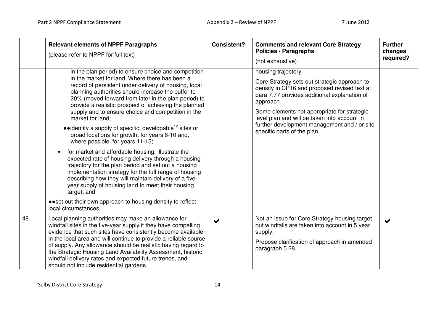|     | <b>Relevant elements of NPPF Paragraphs</b><br>(please refer to NPPF for full text)                                                                                                                                                                                                                                                                                                                                                                                                                                                                                                                                                                                                                                                                                                                                                                                                                                                                                                                              | <b>Consistent?</b> | <b>Comments and relevant Core Strategy</b><br><b>Policies / Paragraphs</b><br>(not exhaustive)                                                                                                                                                                                                                                                                | <b>Further</b><br>changes<br>required? |
|-----|------------------------------------------------------------------------------------------------------------------------------------------------------------------------------------------------------------------------------------------------------------------------------------------------------------------------------------------------------------------------------------------------------------------------------------------------------------------------------------------------------------------------------------------------------------------------------------------------------------------------------------------------------------------------------------------------------------------------------------------------------------------------------------------------------------------------------------------------------------------------------------------------------------------------------------------------------------------------------------------------------------------|--------------------|---------------------------------------------------------------------------------------------------------------------------------------------------------------------------------------------------------------------------------------------------------------------------------------------------------------------------------------------------------------|----------------------------------------|
|     | in the plan period) to ensure choice and competition<br>in the market for land. Where there has been a<br>record of persistent under delivery of housing, local<br>planning authorities should increase the buffer to<br>20% (moved forward from later in the plan period) to<br>provide a realistic prospect of achieving the planned<br>supply and to ensure choice and competition in the<br>market for land;<br>$\bullet$ identify a supply of specific, developable <sup>12</sup> sites or<br>broad locations for growth, for years 6-10 and,<br>where possible, for years 11-15;<br>for market and affordable housing, illustrate the<br>expected rate of housing delivery through a housing<br>trajectory for the plan period and set out a housing<br>implementation strategy for the full range of housing<br>describing how they will maintain delivery of a five-<br>year supply of housing land to meet their housing<br>target; and<br>• • set out their own approach to housing density to reflect |                    | housing trajectory.<br>Core Strategy sets out strategic approach to<br>density in CP16 and proposed revised text at<br>para 7.77 provides additional explanation of<br>approach.<br>Some elements not appropriate for strategic<br>level plan and will be taken into account in<br>further development management and / or site<br>specific parts of the plan |                                        |
|     | local circumstances.                                                                                                                                                                                                                                                                                                                                                                                                                                                                                                                                                                                                                                                                                                                                                                                                                                                                                                                                                                                             |                    |                                                                                                                                                                                                                                                                                                                                                               |                                        |
| 48. | Local planning authorities may make an allowance for<br>windfall sites in the five-year supply if they have compelling<br>evidence that such sites have consistently become available<br>in the local area and will continue to provide a reliable source<br>of supply. Any allowance should be realistic having regard to<br>the Strategic Housing Land Availability Assessment, historic<br>windfall delivery rates and expected future trends, and<br>should not include residential gardens.                                                                                                                                                                                                                                                                                                                                                                                                                                                                                                                 | ✔                  | Not an issue for Core Strategy housing target<br>but windfalls are taken into account in 5 year<br>supply.<br>Propose clarification of approach in amended<br>paragraph 5.28                                                                                                                                                                                  | $\blacktriangleright$                  |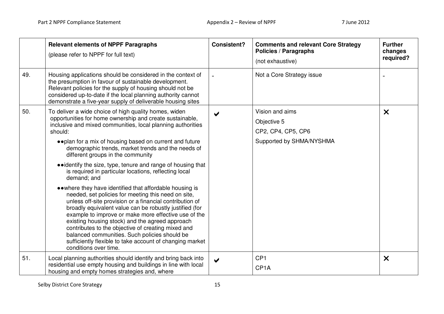|         | <b>Relevant elements of NPPF Paragraphs</b><br>(please refer to NPPF for full text)                                                                                                                                                                                                                                                                                                                                                                                                                                                            | <b>Consistent?</b>   | <b>Comments and relevant Core Strategy</b><br><b>Policies / Paragraphs</b><br>(not exhaustive) | <b>Further</b><br>changes<br>required? |
|---------|------------------------------------------------------------------------------------------------------------------------------------------------------------------------------------------------------------------------------------------------------------------------------------------------------------------------------------------------------------------------------------------------------------------------------------------------------------------------------------------------------------------------------------------------|----------------------|------------------------------------------------------------------------------------------------|----------------------------------------|
| 49.     | Housing applications should be considered in the context of<br>the presumption in favour of sustainable development.<br>Relevant policies for the supply of housing should not be<br>considered up-to-date if the local planning authority cannot<br>demonstrate a five-year supply of deliverable housing sites                                                                                                                                                                                                                               |                      | Not a Core Strategy issue                                                                      |                                        |
| 50.     | To deliver a wide choice of high quality homes, widen                                                                                                                                                                                                                                                                                                                                                                                                                                                                                          |                      | Vision and aims                                                                                | $\boldsymbol{\mathsf{x}}$              |
| should: | opportunities for home ownership and create sustainable,<br>inclusive and mixed communities, local planning authorities                                                                                                                                                                                                                                                                                                                                                                                                                        |                      | Objective 5                                                                                    |                                        |
|         |                                                                                                                                                                                                                                                                                                                                                                                                                                                                                                                                                |                      | CP2, CP4, CP5, CP6                                                                             |                                        |
|         | • • plan for a mix of housing based on current and future<br>demographic trends, market trends and the needs of<br>different groups in the community                                                                                                                                                                                                                                                                                                                                                                                           |                      | Supported by SHMA/NYSHMA                                                                       |                                        |
|         | • identify the size, type, tenure and range of housing that<br>is required in particular locations, reflecting local<br>demand; and                                                                                                                                                                                                                                                                                                                                                                                                            |                      |                                                                                                |                                        |
|         | • • where they have identified that affordable housing is<br>needed, set policies for meeting this need on site,<br>unless off-site provision or a financial contribution of<br>broadly equivalent value can be robustly justified (for<br>example to improve or make more effective use of the<br>existing housing stock) and the agreed approach<br>contributes to the objective of creating mixed and<br>balanced communities. Such policies should be<br>sufficiently flexible to take account of changing market<br>conditions over time. |                      |                                                                                                |                                        |
| 51.     | Local planning authorities should identify and bring back into<br>residential use empty housing and buildings in line with local<br>housing and empty homes strategies and, where                                                                                                                                                                                                                                                                                                                                                              | $\blacktriangledown$ | CP <sub>1</sub><br>CP <sub>1</sub> A                                                           | $\boldsymbol{\mathsf{x}}$              |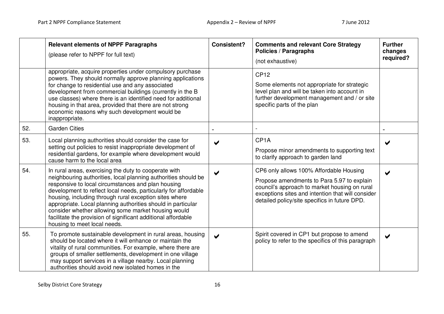|     | <b>Relevant elements of NPPF Paragraphs</b><br>(please refer to NPPF for full text)                                                                                                                                                                                                                                                                                                                                                                                                                                                | <b>Consistent?</b> | <b>Comments and relevant Core Strategy</b><br><b>Policies / Paragraphs</b><br>(not exhaustive)                                                                                                                                               | <b>Further</b><br>changes<br>required? |
|-----|------------------------------------------------------------------------------------------------------------------------------------------------------------------------------------------------------------------------------------------------------------------------------------------------------------------------------------------------------------------------------------------------------------------------------------------------------------------------------------------------------------------------------------|--------------------|----------------------------------------------------------------------------------------------------------------------------------------------------------------------------------------------------------------------------------------------|----------------------------------------|
|     | appropriate, acquire properties under compulsory purchase<br>powers. They should normally approve planning applications<br>for change to residential use and any associated<br>development from commercial buildings (currently in the B<br>use classes) where there is an identified need for additional<br>housing in that area, provided that there are not strong<br>economic reasons why such development would be<br>inappropriate.                                                                                          |                    | <b>CP12</b><br>Some elements not appropriate for strategic<br>level plan and will be taken into account in<br>further development management and / or site<br>specific parts of the plan                                                     |                                        |
| 52. | <b>Garden Cities</b>                                                                                                                                                                                                                                                                                                                                                                                                                                                                                                               |                    |                                                                                                                                                                                                                                              |                                        |
| 53. | Local planning authorities should consider the case for<br>setting out policies to resist inappropriate development of<br>residential gardens, for example where development would<br>cause harm to the local area                                                                                                                                                                                                                                                                                                                 |                    | CP <sub>1</sub> A<br>Propose minor amendments to supporting text<br>to clarify approach to garden land                                                                                                                                       |                                        |
| 54. | In rural areas, exercising the duty to cooperate with<br>neighbouring authorities, local planning authorities should be<br>responsive to local circumstances and plan housing<br>development to reflect local needs, particularly for affordable<br>housing, including through rural exception sites where<br>appropriate. Local planning authorities should in particular<br>consider whether allowing some market housing would<br>facilitate the provision of significant additional affordable<br>housing to meet local needs. |                    | CP6 only allows 100% Affordable Housing<br>Propose amendments to Para 5.97 to explain<br>council's approach to market housing on rural<br>exceptions sites and intention that will consider<br>detailed policy/site specifics in future DPD. | ✔                                      |
| 55. | To promote sustainable development in rural areas, housing<br>should be located where it will enhance or maintain the<br>vitality of rural communities. For example, where there are<br>groups of smaller settlements, development in one village<br>may support services in a village nearby. Local planning<br>authorities should avoid new isolated homes in the                                                                                                                                                                |                    | Spirit covered in CP1 but propose to amend<br>policy to refer to the specifics of this paragraph                                                                                                                                             | $\blacktriangleright$                  |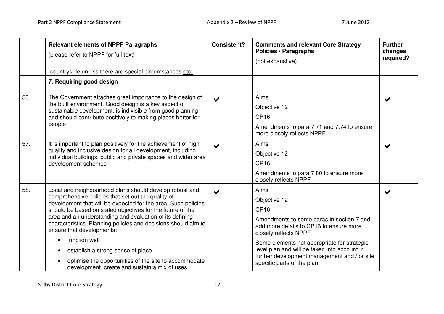|     | <b>Relevant elements of NPPF Paragraphs</b><br>(please refer to NPPF for full text)<br>countryside unless there are special circumstances etc.                                                                                                                                                                                                                                                                                                                                                                                                                                       | <b>Consistent?</b> | <b>Comments and relevant Core Strategy</b><br><b>Policies / Paragraphs</b><br>(not exhaustive)                                                                                                                                                                                                                                         | <b>Further</b><br>changes<br>required? |
|-----|--------------------------------------------------------------------------------------------------------------------------------------------------------------------------------------------------------------------------------------------------------------------------------------------------------------------------------------------------------------------------------------------------------------------------------------------------------------------------------------------------------------------------------------------------------------------------------------|--------------------|----------------------------------------------------------------------------------------------------------------------------------------------------------------------------------------------------------------------------------------------------------------------------------------------------------------------------------------|----------------------------------------|
|     | 7. Requiring good design                                                                                                                                                                                                                                                                                                                                                                                                                                                                                                                                                             |                    |                                                                                                                                                                                                                                                                                                                                        |                                        |
| 56. | The Government attaches great importance to the design of<br>the built environment. Good design is a key aspect of<br>sustainable development, is indivisible from good planning,<br>and should contribute positively to making places better for<br>people                                                                                                                                                                                                                                                                                                                          |                    | Aims<br>Objective 12<br>CP <sub>16</sub><br>Amendments to para 7.71 and 7.74 to ensure<br>more closely reflects NPPF                                                                                                                                                                                                                   | ✔                                      |
| 57. | It is important to plan positively for the achievement of high<br>quality and inclusive design for all development, including<br>individual buildings, public and private spaces and wider area<br>development schemes                                                                                                                                                                                                                                                                                                                                                               |                    | Aims<br>Objective 12<br>CP <sub>16</sub><br>Amendments to para 7.80 to ensure more<br>closely reflects NPPF                                                                                                                                                                                                                            |                                        |
| 58. | Local and neighbourhood plans should develop robust and<br>comprehensive policies that set out the quality of<br>development that will be expected for the area. Such policies<br>should be based on stated objectives for the future of the<br>area and an understanding and evaluation of its defining<br>characteristics. Planning policies and decisions should aim to<br>ensure that developments:<br>function well<br>$\bullet$<br>establish a strong sense of place<br>optimise the opportunities of the site to accommodate<br>development, create and sustain a mix of uses |                    | Aims<br>Objective 12<br>CP <sub>16</sub><br>Amendments to some paras in section 7 and<br>add more details to CP16 to ensure more<br>closely reflects NPPF<br>Some elements not appropriate for strategic<br>level plan and will be taken into account in<br>further development management and / or site<br>specific parts of the plan |                                        |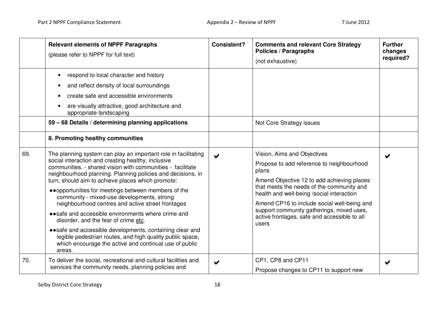|     | <b>Relevant elements of NPPF Paragraphs</b><br>(please refer to NPPF for full text)                                                                                                                                                                                                                                                                                                                                                                                                                                                                                                                                                                                                                                                                             | <b>Consistent?</b>    | <b>Comments and relevant Core Strategy</b><br><b>Policies / Paragraphs</b><br>(not exhaustive)                                                                                                                                                                                                                                                                                 | <b>Further</b><br>changes<br>required? |
|-----|-----------------------------------------------------------------------------------------------------------------------------------------------------------------------------------------------------------------------------------------------------------------------------------------------------------------------------------------------------------------------------------------------------------------------------------------------------------------------------------------------------------------------------------------------------------------------------------------------------------------------------------------------------------------------------------------------------------------------------------------------------------------|-----------------------|--------------------------------------------------------------------------------------------------------------------------------------------------------------------------------------------------------------------------------------------------------------------------------------------------------------------------------------------------------------------------------|----------------------------------------|
|     | respond to local character and history<br>and reflect density of local surroundings<br>create safe and accessible environments<br>are visually attractive, good architecture and<br>appropriate landscaping<br>59 - 68 Details / determining planning applications<br>8. Promoting healthy communities                                                                                                                                                                                                                                                                                                                                                                                                                                                          |                       | Not Core Strategy issues                                                                                                                                                                                                                                                                                                                                                       |                                        |
| 69. | The planning system can play an important role in facilitating<br>social interaction and creating healthy, inclusive<br>communities. - shared vision with communities - facilitate<br>neighbourhood planning. Planning policies and decisions, in<br>turn, should aim to achieve places which promote:<br>• • opportunities for meetings between members of the<br>community - mixed-use developments, strong<br>neighbourhood centres and active street frontages<br>• • safe and accessible environments where crime and<br>disorder, and the fear of crime etc.<br>• safe and accessible developments, containing clear and<br>legible pedestrian routes, and high quality public space,<br>which encourage the active and continual use of public<br>areas. | $\blacktriangleright$ | Vision, Aims and Objectives<br>Propose to add reference to neighbourhood<br>plans<br>Amend Objective 12 to add achieving places<br>that meets the needs of the community and<br>health and well-being /social interaction<br>Amend CP16 to include social well-being and<br>support community gatherings, mixed uses,<br>active frontages, safe and accessible to all<br>users | $\blacktriangleright$                  |
| 70. | To deliver the social, recreational and cultural facilities and<br>services the community needs, planning policies and                                                                                                                                                                                                                                                                                                                                                                                                                                                                                                                                                                                                                                          | ✔                     | CP1, CP8 and CP11<br>Propose changes to CP11 to support new                                                                                                                                                                                                                                                                                                                    |                                        |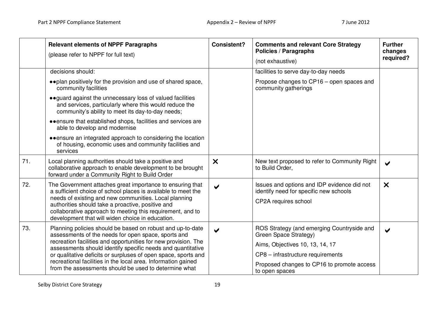|     | <b>Relevant elements of NPPF Paragraphs</b><br>(please refer to NPPF for full text)                                                                                                                                                                                                                                                                                                                                                            | <b>Consistent?</b>        | <b>Comments and relevant Core Strategy</b><br><b>Policies / Paragraphs</b><br>(not exhaustive)                                                                                                              | <b>Further</b><br>changes<br>required? |
|-----|------------------------------------------------------------------------------------------------------------------------------------------------------------------------------------------------------------------------------------------------------------------------------------------------------------------------------------------------------------------------------------------------------------------------------------------------|---------------------------|-------------------------------------------------------------------------------------------------------------------------------------------------------------------------------------------------------------|----------------------------------------|
|     | decisions should:                                                                                                                                                                                                                                                                                                                                                                                                                              |                           | facilities to serve day-to-day needs                                                                                                                                                                        |                                        |
|     | • • plan positively for the provision and use of shared space,<br>community facilities                                                                                                                                                                                                                                                                                                                                                         |                           | Propose changes to CP16 – open spaces and<br>community gatherings                                                                                                                                           |                                        |
|     | • guard against the unnecessary loss of valued facilities<br>and services, particularly where this would reduce the<br>community's ability to meet its day-to-day needs;                                                                                                                                                                                                                                                                       |                           |                                                                                                                                                                                                             |                                        |
|     | • • ensure that established shops, facilities and services are<br>able to develop and modernise                                                                                                                                                                                                                                                                                                                                                |                           |                                                                                                                                                                                                             |                                        |
|     | • ensure an integrated approach to considering the location<br>of housing, economic uses and community facilities and<br>services                                                                                                                                                                                                                                                                                                              |                           |                                                                                                                                                                                                             |                                        |
| 71. | Local planning authorities should take a positive and<br>collaborative approach to enable development to be brought<br>forward under a Community Right to Build Order                                                                                                                                                                                                                                                                          | $\boldsymbol{\mathsf{x}}$ | New text proposed to refer to Community Right<br>to Build Order,                                                                                                                                            | $\blacktriangleright$                  |
| 72. | The Government attaches great importance to ensuring that<br>a sufficient choice of school places is available to meet the<br>needs of existing and new communities. Local planning<br>authorities should take a proactive, positive and<br>collaborative approach to meeting this requirement, and to<br>development that will widen choice in education.                                                                                     | $\blacktriangleright$     | Issues and options and IDP evidence did not<br>identify need for specific new schools<br>CP2A requires school                                                                                               | $\boldsymbol{\mathsf{X}}$              |
| 73. | Planning policies should be based on robust and up-to-date<br>assessments of the needs for open space, sports and<br>recreation facilities and opportunities for new provision. The<br>assessments should identify specific needs and quantitative<br>or qualitative deficits or surpluses of open space, sports and<br>recreational facilities in the local area. Information gained<br>from the assessments should be used to determine what | ✔                         | ROS Strategy (and emerging Countryside and<br>Green Space Strategy)<br>Aims, Objectives 10, 13, 14, 17<br>CP8 - infrastructure requirements<br>Proposed changes to CP16 to promote access<br>to open spaces | $\blacktriangledown$                   |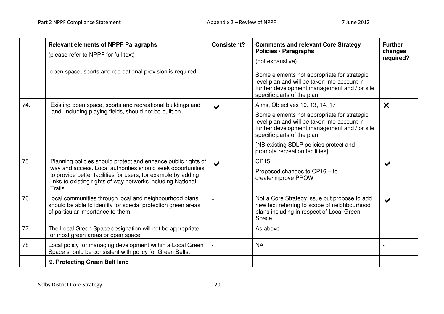|     | <b>Relevant elements of NPPF Paragraphs</b><br>(please refer to NPPF for full text)                                                                                                                    | <b>Consistent?</b>    | <b>Comments and relevant Core Strategy</b><br><b>Policies / Paragraphs</b><br>(not exhaustive)                                                                            | <b>Further</b><br>changes<br>required? |
|-----|--------------------------------------------------------------------------------------------------------------------------------------------------------------------------------------------------------|-----------------------|---------------------------------------------------------------------------------------------------------------------------------------------------------------------------|----------------------------------------|
|     | open space, sports and recreational provision is required.                                                                                                                                             |                       | Some elements not appropriate for strategic<br>level plan and will be taken into account in<br>further development management and / or site<br>specific parts of the plan |                                        |
| 74. | Existing open space, sports and recreational buildings and                                                                                                                                             |                       | Aims, Objectives 10, 13, 14, 17                                                                                                                                           | $\boldsymbol{\mathsf{X}}$              |
|     | land, including playing fields, should not be built on                                                                                                                                                 |                       | Some elements not appropriate for strategic<br>level plan and will be taken into account in<br>further development management and / or site<br>specific parts of the plan |                                        |
|     |                                                                                                                                                                                                        |                       | [NB existing SDLP policies protect and<br>promote recreation facilities]                                                                                                  |                                        |
| 75. | Planning policies should protect and enhance public rights of                                                                                                                                          | $\blacktriangleright$ | <b>CP15</b>                                                                                                                                                               |                                        |
|     | way and access. Local authorities should seek opportunities<br>to provide better facilities for users, for example by adding<br>links to existing rights of way networks including National<br>Trails. |                       | Proposed changes to CP16 - to<br>create/improve PROW                                                                                                                      |                                        |
| 76. | Local communities through local and neighbourhood plans<br>should be able to identify for special protection green areas<br>of particular importance to them.                                          |                       | Not a Core Strategy issue but propose to add<br>new text referring to scope of neighbourhood<br>plans including in respect of Local Green<br>Space                        |                                        |
| 77. | The Local Green Space designation will not be appropriate<br>for most green areas or open space.                                                                                                       |                       | As above                                                                                                                                                                  |                                        |
| 78  | Local policy for managing development within a Local Green<br>Space should be consistent with policy for Green Belts.                                                                                  |                       | <b>NA</b>                                                                                                                                                                 |                                        |
|     | 9. Protecting Green Belt land                                                                                                                                                                          |                       |                                                                                                                                                                           |                                        |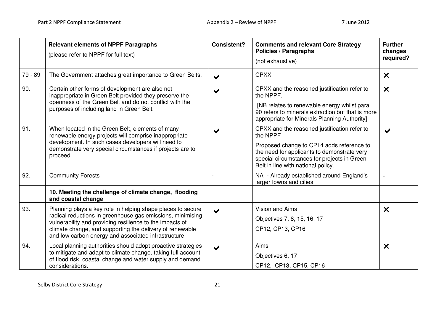|         | <b>Relevant elements of NPPF Paragraphs</b><br>(please refer to NPPF for full text)                                                                                                                                                                                                                       | <b>Consistent?</b>    | <b>Comments and relevant Core Strategy</b><br><b>Policies / Paragraphs</b><br>(not exhaustive)                                                                                                                                            | <b>Further</b><br>changes<br>required? |
|---------|-----------------------------------------------------------------------------------------------------------------------------------------------------------------------------------------------------------------------------------------------------------------------------------------------------------|-----------------------|-------------------------------------------------------------------------------------------------------------------------------------------------------------------------------------------------------------------------------------------|----------------------------------------|
| 79 - 89 | The Government attaches great importance to Green Belts.                                                                                                                                                                                                                                                  | $\blacktriangledown$  | <b>CPXX</b>                                                                                                                                                                                                                               | $\boldsymbol{\mathsf{x}}$              |
| 90.     | Certain other forms of development are also not<br>inappropriate in Green Belt provided they preserve the<br>openness of the Green Belt and do not conflict with the<br>purposes of including land in Green Belt.                                                                                         |                       | CPXX and the reasoned justification refer to<br>the NPPF.<br>[NB relates to renewable energy whilst para<br>90 refers to minerals extraction but that is more                                                                             | $\boldsymbol{\mathsf{X}}$              |
|         |                                                                                                                                                                                                                                                                                                           |                       | appropriate for Minerals Planning Authority]                                                                                                                                                                                              |                                        |
| 91.     | When located in the Green Belt, elements of many<br>renewable energy projects will comprise inappropriate<br>development. In such cases developers will need to<br>demonstrate very special circumstances if projects are to<br>proceed.                                                                  |                       | CPXX and the reasoned justification refer to<br>the NPPF<br>Proposed change to CP14 adds reference to<br>the need for applicants to demonstrate very<br>special circumstances for projects in Green<br>Belt in line with national policy. | ✔                                      |
| 92.     | <b>Community Forests</b>                                                                                                                                                                                                                                                                                  |                       | NA - Already established around England's<br>larger towns and cities.                                                                                                                                                                     |                                        |
|         | 10. Meeting the challenge of climate change, flooding<br>and coastal change                                                                                                                                                                                                                               |                       |                                                                                                                                                                                                                                           |                                        |
| 93.     | Planning plays a key role in helping shape places to secure<br>radical reductions in greenhouse gas emissions, minimising<br>vulnerability and providing resilience to the impacts of<br>climate change, and supporting the delivery of renewable<br>and low carbon energy and associated infrastructure. | $\blacktriangleright$ | <b>Vision and Aims</b><br>Objectives 7, 8, 15, 16, 17<br>CP12, CP13, CP16                                                                                                                                                                 | $\boldsymbol{\mathsf{x}}$              |
| 94.     | Local planning authorities should adopt proactive strategies<br>to mitigate and adapt to climate change, taking full account<br>of flood risk, coastal change and water supply and demand<br>considerations.                                                                                              | ✔                     | Aims<br>Objectives 6, 17<br>CP12, CP13, CP15, CP16                                                                                                                                                                                        | $\boldsymbol{\mathsf{x}}$              |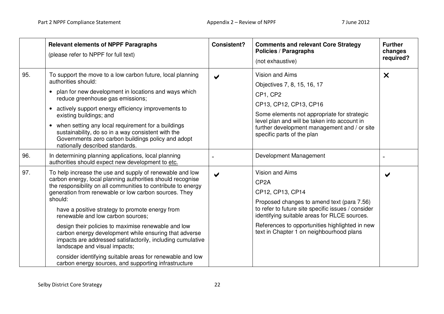|     | <b>Relevant elements of NPPF Paragraphs</b><br>(please refer to NPPF for full text)                                                                                                                                                                                                                                                                                                                                                                                                                                                                                                                                                                                                     | <b>Consistent?</b>   | <b>Comments and relevant Core Strategy</b><br><b>Policies / Paragraphs</b><br>(not exhaustive)                                                                                                                                                                                                                    | <b>Further</b><br>changes<br>required? |
|-----|-----------------------------------------------------------------------------------------------------------------------------------------------------------------------------------------------------------------------------------------------------------------------------------------------------------------------------------------------------------------------------------------------------------------------------------------------------------------------------------------------------------------------------------------------------------------------------------------------------------------------------------------------------------------------------------------|----------------------|-------------------------------------------------------------------------------------------------------------------------------------------------------------------------------------------------------------------------------------------------------------------------------------------------------------------|----------------------------------------|
| 95. | To support the move to a low carbon future, local planning<br>authorities should:<br>• plan for new development in locations and ways which<br>reduce greenhouse gas emissions;<br>• actively support energy efficiency improvements to<br>existing buildings; and<br>• when setting any local requirement for a buildings<br>sustainability, do so in a way consistent with the<br>Governments zero carbon buildings policy and adopt<br>nationally described standards.                                                                                                                                                                                                               | ✔                    | <b>Vision and Aims</b><br>Objectives 7, 8, 15, 16, 17<br>CP1, CP2<br>CP13, CP12, CP13, CP16<br>Some elements not appropriate for strategic<br>level plan and will be taken into account in<br>further development management and / or site<br>specific parts of the plan                                          | $\boldsymbol{\mathsf{x}}$              |
| 96. | In determining planning applications, local planning<br>authorities should expect new development to etc.                                                                                                                                                                                                                                                                                                                                                                                                                                                                                                                                                                               |                      | Development Management                                                                                                                                                                                                                                                                                            |                                        |
| 97. | To help increase the use and supply of renewable and low<br>carbon energy, local planning authorities should recognise<br>the responsibility on all communities to contribute to energy<br>generation from renewable or low carbon sources. They<br>should:<br>have a positive strategy to promote energy from<br>renewable and low carbon sources;<br>design their policies to maximise renewable and low<br>carbon energy development while ensuring that adverse<br>impacts are addressed satisfactorily, including cumulative<br>landscape and visual impacts;<br>consider identifying suitable areas for renewable and low<br>carbon energy sources, and supporting infrastructure | $\blacktriangledown$ | <b>Vision and Aims</b><br>CP <sub>2</sub> A<br>CP12, CP13, CP14<br>Proposed changes to amend text (para 7.56)<br>to refer to future site specific issues / consider<br>identifying suitable areas for RLCE sources.<br>References to opportunities highlighted in new<br>text in Chapter 1 on neighbourhood plans |                                        |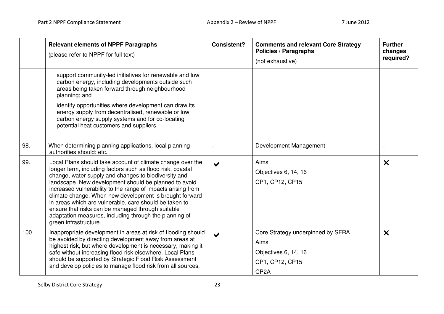|      | <b>Relevant elements of NPPF Paragraphs</b><br>(please refer to NPPF for full text)                                                                                                                                                                                                                                                                                                                                                                                                                                                                                    | <b>Consistent?</b>    | <b>Comments and relevant Core Strategy</b><br><b>Policies / Paragraphs</b><br>(not exhaustive)            | <b>Further</b><br>changes<br>required? |
|------|------------------------------------------------------------------------------------------------------------------------------------------------------------------------------------------------------------------------------------------------------------------------------------------------------------------------------------------------------------------------------------------------------------------------------------------------------------------------------------------------------------------------------------------------------------------------|-----------------------|-----------------------------------------------------------------------------------------------------------|----------------------------------------|
|      | support community-led initiatives for renewable and low<br>carbon energy, including developments outside such<br>areas being taken forward through neighbourhood<br>planning; and<br>identify opportunities where development can draw its<br>energy supply from decentralised, renewable or low<br>carbon energy supply systems and for co-locating<br>potential heat customers and suppliers.                                                                                                                                                                        |                       |                                                                                                           |                                        |
| 98.  | When determining planning applications, local planning<br>authorities should: etc.                                                                                                                                                                                                                                                                                                                                                                                                                                                                                     |                       | Development Management                                                                                    |                                        |
| 99.  | Local Plans should take account of climate change over the<br>longer term, including factors such as flood risk, coastal<br>change, water supply and changes to biodiversity and<br>landscape. New development should be planned to avoid<br>increased vulnerability to the range of impacts arising from<br>climate change. When new development is brought forward<br>in areas which are vulnerable, care should be taken to<br>ensure that risks can be managed through suitable<br>adaptation measures, including through the planning of<br>green infrastructure. | $\blacktriangleright$ | Aims<br>Objectives 6, 14, 16<br>CP1, CP12, CP15                                                           | $\boldsymbol{\mathsf{x}}$              |
| 100. | Inappropriate development in areas at risk of flooding should<br>be avoided by directing development away from areas at<br>highest risk, but where development is necessary, making it<br>safe without increasing flood risk elsewhere. Local Plans<br>should be supported by Strategic Flood Risk Assessment<br>and develop policies to manage flood risk from all sources,                                                                                                                                                                                           | $\blacktriangleright$ | Core Strategy underpinned by SFRA<br>Aims<br>Objectives 6, 14, 16<br>CP1, CP12, CP15<br>CP <sub>2</sub> A | X                                      |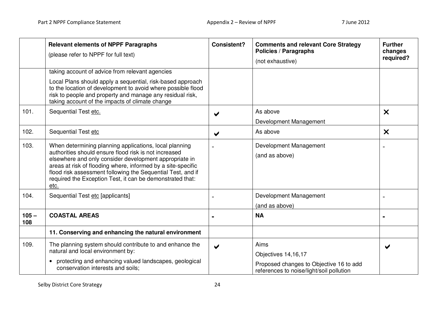|                | <b>Relevant elements of NPPF Paragraphs</b><br>(please refer to NPPF for full text)                                                                                                                                                                                                                                                                                           | <b>Consistent?</b>    | <b>Comments and relevant Core Strategy</b><br><b>Policies / Paragraphs</b><br>(not exhaustive)                     | <b>Further</b><br>changes<br>required? |
|----------------|-------------------------------------------------------------------------------------------------------------------------------------------------------------------------------------------------------------------------------------------------------------------------------------------------------------------------------------------------------------------------------|-----------------------|--------------------------------------------------------------------------------------------------------------------|----------------------------------------|
|                | taking account of advice from relevant agencies<br>Local Plans should apply a sequential, risk-based approach<br>to the location of development to avoid where possible flood<br>risk to people and property and manage any residual risk,<br>taking account of the impacts of climate change                                                                                 |                       |                                                                                                                    |                                        |
| 101.           | Sequential Test etc.                                                                                                                                                                                                                                                                                                                                                          |                       | As above<br>Development Management                                                                                 | $\boldsymbol{\mathsf{x}}$              |
| 102.           | Sequential Test etc                                                                                                                                                                                                                                                                                                                                                           | ✔                     | As above                                                                                                           | $\boldsymbol{\mathsf{x}}$              |
| 103.           | When determining planning applications, local planning<br>authorities should ensure flood risk is not increased<br>elsewhere and only consider development appropriate in<br>areas at risk of flooding where, informed by a site-specific<br>flood risk assessment following the Sequential Test, and if<br>required the Exception Test, it can be demonstrated that:<br>etc. |                       | Development Management<br>(and as above)                                                                           |                                        |
| 104.           | Sequential Test etc [applicants]                                                                                                                                                                                                                                                                                                                                              |                       | Development Management<br>(and as above)                                                                           |                                        |
| $105 -$<br>108 | <b>COASTAL AREAS</b>                                                                                                                                                                                                                                                                                                                                                          |                       | <b>NA</b>                                                                                                          |                                        |
|                | 11. Conserving and enhancing the natural environment                                                                                                                                                                                                                                                                                                                          |                       |                                                                                                                    |                                        |
| 109.           | The planning system should contribute to and enhance the<br>natural and local environment by:<br>protecting and enhancing valued landscapes, geological<br>conservation interests and soils;                                                                                                                                                                                  | $\blacktriangleright$ | Aims<br>Objectives 14,16,17<br>Proposed changes to Objective 16 to add<br>references to noise/light/soil pollution |                                        |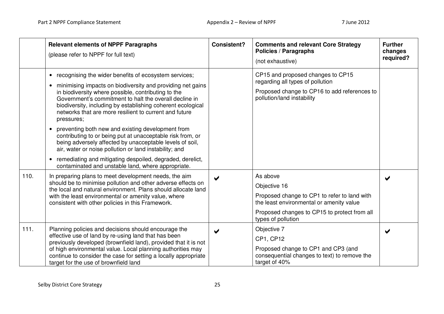|      | <b>Relevant elements of NPPF Paragraphs</b><br>(please refer to NPPF for full text)                                                                                                                                                                                                                                                                                                                                                                                                                                                                                                                                                                                                                                                                               | <b>Consistent?</b> | <b>Comments and relevant Core Strategy</b><br><b>Policies / Paragraphs</b><br>(not exhaustive)                                                                                             | <b>Further</b><br>changes<br>required? |
|------|-------------------------------------------------------------------------------------------------------------------------------------------------------------------------------------------------------------------------------------------------------------------------------------------------------------------------------------------------------------------------------------------------------------------------------------------------------------------------------------------------------------------------------------------------------------------------------------------------------------------------------------------------------------------------------------------------------------------------------------------------------------------|--------------------|--------------------------------------------------------------------------------------------------------------------------------------------------------------------------------------------|----------------------------------------|
|      | recognising the wider benefits of ecosystem services;<br>$\bullet$<br>minimising impacts on biodiversity and providing net gains<br>in biodiversity where possible, contributing to the<br>Government's commitment to halt the overall decline in<br>biodiversity, including by establishing coherent ecological<br>networks that are more resilient to current and future<br>pressures;<br>preventing both new and existing development from<br>contributing to or being put at unacceptable risk from, or<br>being adversely affected by unacceptable levels of soil,<br>air, water or noise pollution or land instability; and<br>remediating and mitigating despoiled, degraded, derelict,<br>$\bullet$<br>contaminated and unstable land, where appropriate. |                    | CP15 and proposed changes to CP15<br>regarding all types of pollution<br>Proposed change to CP16 to add references to<br>pollution/land instability                                        |                                        |
| 110. | In preparing plans to meet development needs, the aim<br>should be to minimise pollution and other adverse effects on<br>the local and natural environment. Plans should allocate land<br>with the least environmental or amenity value, where<br>consistent with other policies in this Framework.                                                                                                                                                                                                                                                                                                                                                                                                                                                               |                    | As above<br>Objective 16<br>Proposed change to CP1 to refer to land with<br>the least environmental or amenity value<br>Proposed changes to CP15 to protect from all<br>types of pollution |                                        |
| 111. | Planning policies and decisions should encourage the<br>effective use of land by re-using land that has been<br>previously developed (brownfield land), provided that it is not<br>of high environmental value. Local planning authorities may<br>continue to consider the case for setting a locally appropriate<br>target for the use of brownfield land                                                                                                                                                                                                                                                                                                                                                                                                        |                    | Objective 7<br>CP1, CP12<br>Proposed change to CP1 and CP3 (and<br>consequential changes to text) to remove the<br>target of 40%                                                           |                                        |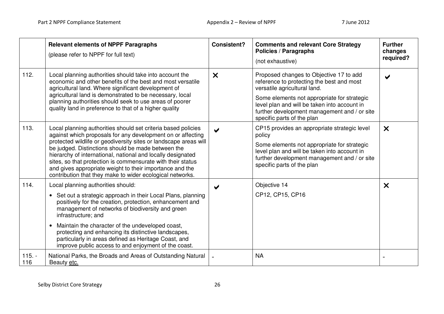|                                                                                                                                                                               | <b>Relevant elements of NPPF Paragraphs</b><br>(please refer to NPPF for full text)                                                                                                                                                                                                                                                                                                                                                                                                                           | <b>Consistent?</b>                                                                                                                                                        | <b>Comments and relevant Core Strategy</b><br><b>Policies / Paragraphs</b><br>(not exhaustive)                                                                                                                                      | <b>Further</b><br>changes<br>required? |
|-------------------------------------------------------------------------------------------------------------------------------------------------------------------------------|---------------------------------------------------------------------------------------------------------------------------------------------------------------------------------------------------------------------------------------------------------------------------------------------------------------------------------------------------------------------------------------------------------------------------------------------------------------------------------------------------------------|---------------------------------------------------------------------------------------------------------------------------------------------------------------------------|-------------------------------------------------------------------------------------------------------------------------------------------------------------------------------------------------------------------------------------|----------------------------------------|
| 112.                                                                                                                                                                          | Local planning authorities should take into account the<br>economic and other benefits of the best and most versatile<br>agricultural land. Where significant development of                                                                                                                                                                                                                                                                                                                                  | $\boldsymbol{\mathsf{x}}$                                                                                                                                                 | Proposed changes to Objective 17 to add<br>reference to protecting the best and most<br>versatile agricultural land.                                                                                                                |                                        |
| agricultural land is demonstrated to be necessary, local<br>planning authorities should seek to use areas of poorer<br>quality land in preference to that of a higher quality |                                                                                                                                                                                                                                                                                                                                                                                                                                                                                                               | Some elements not appropriate for strategic<br>level plan and will be taken into account in<br>further development management and / or site<br>specific parts of the plan |                                                                                                                                                                                                                                     |                                        |
| 113.                                                                                                                                                                          | Local planning authorities should set criteria based policies<br>against which proposals for any development on or affecting<br>protected wildlife or geodiversity sites or landscape areas will<br>be judged. Distinctions should be made between the<br>hierarchy of international, national and locally designated<br>sites, so that protection is commensurate with their status<br>and gives appropriate weight to their importance and the<br>contribution that they make to wider ecological networks. |                                                                                                                                                                           | CP15 provides an appropriate strategic level<br>policy<br>Some elements not appropriate for strategic<br>level plan and will be taken into account in<br>further development management and / or site<br>specific parts of the plan | $\boldsymbol{\times}$                  |
| 114.                                                                                                                                                                          | Local planning authorities should:<br>• Set out a strategic approach in their Local Plans, planning<br>positively for the creation, protection, enhancement and<br>management of networks of biodiversity and green<br>infrastructure; and<br>Maintain the character of the undeveloped coast,<br>$\bullet$<br>protecting and enhancing its distinctive landscapes,<br>particularly in areas defined as Heritage Coast, and<br>improve public access to and enjoyment of the coast.                           | ✔                                                                                                                                                                         | Objective 14<br>CP12, CP15, CP16                                                                                                                                                                                                    | $\boldsymbol{\mathsf{x}}$              |
| $115. -$<br>116                                                                                                                                                               | National Parks, the Broads and Areas of Outstanding Natural<br>Beauty etc.                                                                                                                                                                                                                                                                                                                                                                                                                                    |                                                                                                                                                                           | <b>NA</b>                                                                                                                                                                                                                           |                                        |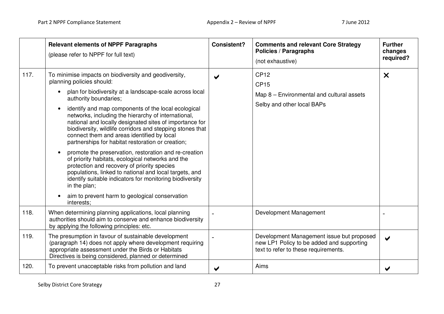|      | <b>Relevant elements of NPPF Paragraphs</b><br>(please refer to NPPF for full text)                                                                                                                                                                                                                                                                                                                                                                                                                                                                                                                                                                                                                                                                                                                                                                                                                                       | <b>Consistent?</b> | <b>Comments and relevant Core Strategy</b><br>Policies / Paragraphs<br>(not exhaustive)                                        | <b>Further</b><br>changes<br>required? |
|------|---------------------------------------------------------------------------------------------------------------------------------------------------------------------------------------------------------------------------------------------------------------------------------------------------------------------------------------------------------------------------------------------------------------------------------------------------------------------------------------------------------------------------------------------------------------------------------------------------------------------------------------------------------------------------------------------------------------------------------------------------------------------------------------------------------------------------------------------------------------------------------------------------------------------------|--------------------|--------------------------------------------------------------------------------------------------------------------------------|----------------------------------------|
| 117. | To minimise impacts on biodiversity and geodiversity,<br>planning policies should:<br>plan for biodiversity at a landscape-scale across local<br>$\bullet$<br>authority boundaries;<br>identify and map components of the local ecological<br>$\bullet$<br>networks, including the hierarchy of international,<br>national and locally designated sites of importance for<br>biodiversity, wildlife corridors and stepping stones that<br>connect them and areas identified by local<br>partnerships for habitat restoration or creation;<br>promote the preservation, restoration and re-creation<br>$\bullet$<br>of priority habitats, ecological networks and the<br>protection and recovery of priority species<br>populations, linked to national and local targets, and<br>identify suitable indicators for monitoring biodiversity<br>in the plan;<br>aim to prevent harm to geological conservation<br>interests: |                    | <b>CP12</b><br><b>CP15</b><br>Map 8 - Environmental and cultural assets<br>Selby and other local BAPs                          | $\boldsymbol{\mathsf{x}}$              |
| 118. | When determining planning applications, local planning<br>authorities should aim to conserve and enhance biodiversity<br>by applying the following principles: etc.                                                                                                                                                                                                                                                                                                                                                                                                                                                                                                                                                                                                                                                                                                                                                       |                    | Development Management                                                                                                         |                                        |
| 119. | The presumption in favour of sustainable development<br>(paragraph 14) does not apply where development requiring<br>appropriate assessment under the Birds or Habitats<br>Directives is being considered, planned or determined                                                                                                                                                                                                                                                                                                                                                                                                                                                                                                                                                                                                                                                                                          |                    | Development Management issue but proposed<br>new LP1 Policy to be added and supporting<br>text to refer to these requirements. | ✔                                      |
| 120. | To prevent unacceptable risks from pollution and land                                                                                                                                                                                                                                                                                                                                                                                                                                                                                                                                                                                                                                                                                                                                                                                                                                                                     |                    | Aims                                                                                                                           |                                        |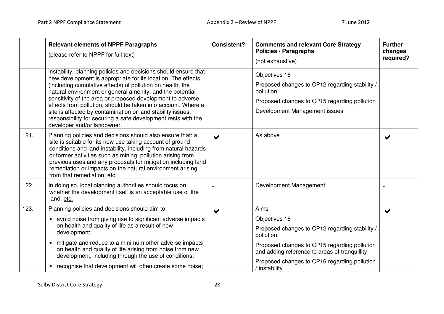|      | <b>Relevant elements of NPPF Paragraphs</b><br>(please refer to NPPF for full text)                                                                                                                                                                                                                                                                                                                                                                                                                                                                      | <b>Consistent?</b>    | <b>Comments and relevant Core Strategy</b><br><b>Policies / Paragraphs</b><br>(not exhaustive)                                                                                         | <b>Further</b><br>changes<br>required? |
|------|----------------------------------------------------------------------------------------------------------------------------------------------------------------------------------------------------------------------------------------------------------------------------------------------------------------------------------------------------------------------------------------------------------------------------------------------------------------------------------------------------------------------------------------------------------|-----------------------|----------------------------------------------------------------------------------------------------------------------------------------------------------------------------------------|----------------------------------------|
|      | instability, planning policies and decisions should ensure that<br>new development is appropriate for its location. The effects<br>(including cumulative effects) of pollution on health, the<br>natural environment or general amenity, and the potential<br>sensitivity of the area or proposed development to adverse<br>effects from pollution, should be taken into account. Where a<br>site is affected by contamination or land stability issues,<br>responsibility for securing a safe development rests with the<br>developer and/or landowner. |                       | Objectives 16<br>Proposed changes to CP12 regarding stability /<br>pollution.<br>Proposed changes to CP15 regarding pollution<br>Development Management issues                         |                                        |
| 121. | Planning policies and decisions should also ensure that: a<br>site is suitable for its new use taking account of ground<br>conditions and land instability, including from natural hazards<br>or former activities such as mining, pollution arising from<br>previous uses and any proposals for mitigation including land<br>remediation or impacts on the natural environment arising<br>from that remediation; etc.                                                                                                                                   |                       | As above                                                                                                                                                                               |                                        |
| 122. | In doing so, local planning authorities should focus on<br>whether the development itself is an acceptable use of the<br>land, etc.                                                                                                                                                                                                                                                                                                                                                                                                                      |                       | Development Management                                                                                                                                                                 |                                        |
| 123. | Planning policies and decisions should aim to:<br>avoid noise from giving rise to significant adverse impacts<br>$\bullet$<br>on health and quality of life as a result of new<br>development;<br>mitigate and reduce to a minimum other adverse impacts<br>$\bullet$<br>on health and quality of life arising from noise from new                                                                                                                                                                                                                       | $\blacktriangleright$ | Aims<br>Objectives 16<br>Proposed changes to CP12 regarding stability /<br>pollution.<br>Proposed changes to CP15 regarding pollution<br>and adding reference to areas of tranquillity |                                        |
|      | development, including through the use of conditions;<br>recognise that development will often create some noise;<br>$\bullet$                                                                                                                                                                                                                                                                                                                                                                                                                           |                       | Proposed changes to CP16 regarding pollution<br>instability                                                                                                                            |                                        |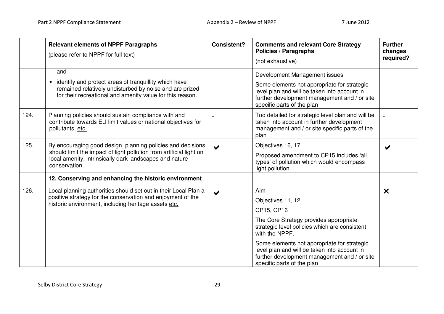|      | <b>Relevant elements of NPPF Paragraphs</b><br>(please refer to NPPF for full text)                                                                                                                            | <b>Consistent?</b>    | <b>Comments and relevant Core Strategy</b><br><b>Policies / Paragraphs</b><br>(not exhaustive)                                                                                                                                                                                                                                   | <b>Further</b><br>changes<br>required? |
|------|----------------------------------------------------------------------------------------------------------------------------------------------------------------------------------------------------------------|-----------------------|----------------------------------------------------------------------------------------------------------------------------------------------------------------------------------------------------------------------------------------------------------------------------------------------------------------------------------|----------------------------------------|
|      | and<br>identify and protect areas of tranquillity which have<br>remained relatively undisturbed by noise and are prized<br>for their recreational and amenity value for this reason.                           |                       | Development Management issues<br>Some elements not appropriate for strategic<br>level plan and will be taken into account in<br>further development management and / or site<br>specific parts of the plan                                                                                                                       |                                        |
| 124. | Planning policies should sustain compliance with and<br>contribute towards EU limit values or national objectives for<br>pollutants, etc.                                                                      |                       | Too detailed for strategic level plan and will be<br>taken into account in further development<br>management and / or site specific parts of the<br>plan                                                                                                                                                                         |                                        |
| 125. | By encouraging good design, planning policies and decisions<br>should limit the impact of light pollution from artificial light on<br>local amenity, intrinsically dark landscapes and nature<br>conservation. | ✔                     | Objectives 16, 17<br>Proposed amendment to CP15 includes 'all<br>types' of pollution which would encompass<br>light pollution                                                                                                                                                                                                    |                                        |
|      | 12. Conserving and enhancing the historic environment                                                                                                                                                          |                       |                                                                                                                                                                                                                                                                                                                                  |                                        |
| 126. | Local planning authorities should set out in their Local Plan a<br>positive strategy for the conservation and enjoyment of the<br>historic environment, including heritage assets etc.                         | $\blacktriangleright$ | Aim<br>Objectives 11, 12<br>CP15, CP16<br>The Core Strategy provides appropriate<br>strategic level policies which are consistent<br>with the NPPF.<br>Some elements not appropriate for strategic<br>level plan and will be taken into account in<br>further development management and / or site<br>specific parts of the plan | $\boldsymbol{\mathsf{x}}$              |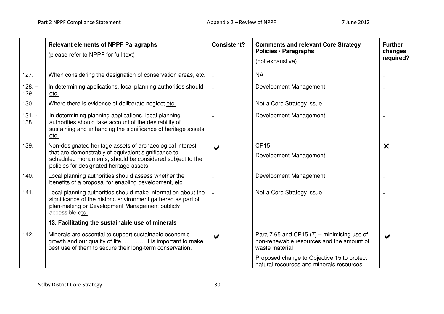|                 | <b>Relevant elements of NPPF Paragraphs</b><br>(please refer to NPPF for full text)                                                                                                                                     | <b>Consistent?</b> | <b>Comments and relevant Core Strategy</b><br><b>Policies / Paragraphs</b><br>(not exhaustive)              | <b>Further</b><br>changes<br>required? |
|-----------------|-------------------------------------------------------------------------------------------------------------------------------------------------------------------------------------------------------------------------|--------------------|-------------------------------------------------------------------------------------------------------------|----------------------------------------|
| 127.            | When considering the designation of conservation areas, etc.                                                                                                                                                            |                    | <b>NA</b>                                                                                                   |                                        |
| $128. -$<br>129 | In determining applications, local planning authorities should<br>etc.                                                                                                                                                  |                    | Development Management                                                                                      |                                        |
| 130.            | Where there is evidence of deliberate neglect etc.                                                                                                                                                                      |                    | Not a Core Strategy issue                                                                                   |                                        |
| $131. -$<br>138 | In determining planning applications, local planning<br>authorities should take account of the desirability of<br>sustaining and enhancing the significance of heritage assets<br>etc.                                  |                    | Development Management                                                                                      |                                        |
| 139.            | Non-designated heritage assets of archaeological interest<br>that are demonstrably of equivalent significance to<br>scheduled monuments, should be considered subject to the<br>policies for designated heritage assets |                    | <b>CP15</b><br>Development Management                                                                       | $\boldsymbol{\mathsf{x}}$              |
| 140.            | Local planning authorities should assess whether the<br>benefits of a proposal for enabling development, etc                                                                                                            |                    | Development Management                                                                                      |                                        |
| 141.            | Local planning authorities should make information about the<br>significance of the historic environment gathered as part of<br>plan-making or Development Management publicly<br>accessible etc.                       |                    | Not a Core Strategy issue                                                                                   |                                        |
|                 | 13. Facilitating the sustainable use of minerals                                                                                                                                                                        |                    |                                                                                                             |                                        |
| 142.            | Minerals are essential to support sustainable economic<br>growth and our quality of life. , it is important to make<br>best use of them to secure their long-term conservation.                                         |                    | Para 7.65 and CP15 $(7)$ – minimising use of<br>non-renewable resources and the amount of<br>waste material |                                        |
|                 |                                                                                                                                                                                                                         |                    | Proposed change to Objective 15 to protect<br>natural resources and minerals resources                      |                                        |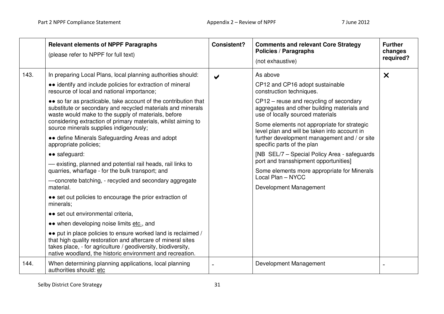|      | <b>Relevant elements of NPPF Paragraphs</b><br>(please refer to NPPF for full text)                                                                                                                                                                                                                                                                                                                                                                                                                                                                                                                                                                                                                                                                                                                                                                                                                                                                                                                                                                                                                                                                                                    | <b>Consistent?</b>    | <b>Comments and relevant Core Strategy</b><br><b>Policies / Paragraphs</b><br>(not exhaustive)                                                                                                                                                                                                                                                                                                                                                                                                                                                                            | <b>Further</b><br>changes<br>required? |
|------|----------------------------------------------------------------------------------------------------------------------------------------------------------------------------------------------------------------------------------------------------------------------------------------------------------------------------------------------------------------------------------------------------------------------------------------------------------------------------------------------------------------------------------------------------------------------------------------------------------------------------------------------------------------------------------------------------------------------------------------------------------------------------------------------------------------------------------------------------------------------------------------------------------------------------------------------------------------------------------------------------------------------------------------------------------------------------------------------------------------------------------------------------------------------------------------|-----------------------|---------------------------------------------------------------------------------------------------------------------------------------------------------------------------------------------------------------------------------------------------------------------------------------------------------------------------------------------------------------------------------------------------------------------------------------------------------------------------------------------------------------------------------------------------------------------------|----------------------------------------|
| 143. | In preparing Local Plans, local planning authorities should:<br>• identify and include policies for extraction of mineral<br>resource of local and national importance;<br>• so far as practicable, take account of the contribution that<br>substitute or secondary and recycled materials and minerals<br>waste would make to the supply of materials, before<br>considering extraction of primary materials, whilst aiming to<br>source minerals supplies indigenously;<br>• define Minerals Safeguarding Areas and adopt<br>appropriate policies;<br>• safeguard:<br>- existing, planned and potential rail heads, rail links to<br>quarries, wharfage - for the bulk transport; and<br>- concrete batching, - recycled and secondary aggregate<br>material.<br>• set out policies to encourage the prior extraction of<br>minerals;<br>• set out environmental criteria,<br>• when developing noise limits etc., and<br>• put in place policies to ensure worked land is reclaimed /<br>that high quality restoration and aftercare of mineral sites<br>takes place, - for agriculture / geodiversity, biodiversity,<br>native woodland, the historic environment and recreation. | $\blacktriangleright$ | As above<br>CP12 and CP16 adopt sustainable<br>construction techniques.<br>CP12 – reuse and recycling of secondary<br>aggregates and other building materials and<br>use of locally sourced materials<br>Some elements not appropriate for strategic<br>level plan and will be taken into account in<br>further development management and / or site<br>specific parts of the plan<br>[NB SEL/7 - Special Policy Area - safeguards<br>port and transshipment opportunities]<br>Some elements more appropriate for Minerals<br>Local Plan - NYCC<br>Development Management | $\boldsymbol{\times}$                  |
| 144. | When determining planning applications, local planning<br>authorities should: etc                                                                                                                                                                                                                                                                                                                                                                                                                                                                                                                                                                                                                                                                                                                                                                                                                                                                                                                                                                                                                                                                                                      |                       | Development Management                                                                                                                                                                                                                                                                                                                                                                                                                                                                                                                                                    |                                        |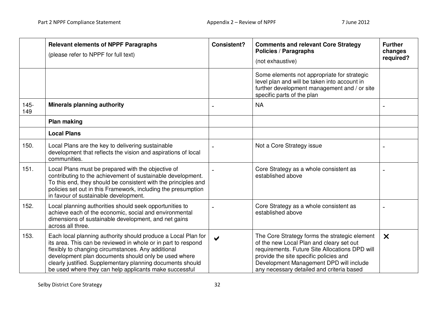|                | <b>Relevant elements of NPPF Paragraphs</b><br>(please refer to NPPF for full text)                                                                                                                                                                                                                                                                                  | <b>Consistent?</b>   | <b>Comments and relevant Core Strategy</b><br><b>Policies / Paragraphs</b><br>(not exhaustive)                                                                                                                                                                                | <b>Further</b><br>changes<br>required? |
|----------------|----------------------------------------------------------------------------------------------------------------------------------------------------------------------------------------------------------------------------------------------------------------------------------------------------------------------------------------------------------------------|----------------------|-------------------------------------------------------------------------------------------------------------------------------------------------------------------------------------------------------------------------------------------------------------------------------|----------------------------------------|
|                |                                                                                                                                                                                                                                                                                                                                                                      |                      | Some elements not appropriate for strategic<br>level plan and will be taken into account in<br>further development management and / or site<br>specific parts of the plan                                                                                                     |                                        |
| $145 -$<br>149 | <b>Minerals planning authority</b>                                                                                                                                                                                                                                                                                                                                   |                      | <b>NA</b>                                                                                                                                                                                                                                                                     |                                        |
|                | <b>Plan making</b>                                                                                                                                                                                                                                                                                                                                                   |                      |                                                                                                                                                                                                                                                                               |                                        |
|                | <b>Local Plans</b>                                                                                                                                                                                                                                                                                                                                                   |                      |                                                                                                                                                                                                                                                                               |                                        |
| 150.           | Local Plans are the key to delivering sustainable<br>development that reflects the vision and aspirations of local<br>communities.                                                                                                                                                                                                                                   |                      | Not a Core Strategy issue                                                                                                                                                                                                                                                     |                                        |
| 151.           | Local Plans must be prepared with the objective of<br>contributing to the achievement of sustainable development.<br>To this end, they should be consistent with the principles and<br>policies set out in this Framework, including the presumption<br>in favour of sustainable development.                                                                        |                      | Core Strategy as a whole consistent as<br>established above                                                                                                                                                                                                                   |                                        |
| 152.           | Local planning authorities should seek opportunities to<br>achieve each of the economic, social and environmental<br>dimensions of sustainable development, and net gains<br>across all three.                                                                                                                                                                       |                      | Core Strategy as a whole consistent as<br>established above                                                                                                                                                                                                                   |                                        |
| 153.           | Each local planning authority should produce a Local Plan for<br>its area. This can be reviewed in whole or in part to respond<br>flexibly to changing circumstances. Any additional<br>development plan documents should only be used where<br>clearly justified. Supplementary planning documents should<br>be used where they can help applicants make successful | $\blacktriangledown$ | The Core Strategy forms the strategic element<br>of the new Local Plan and cleary set out<br>requirements. Future Site Allocations DPD will<br>provide the site specific policies and<br>Development Management DPD will include<br>any necessary detailed and criteria based | $\boldsymbol{\times}$                  |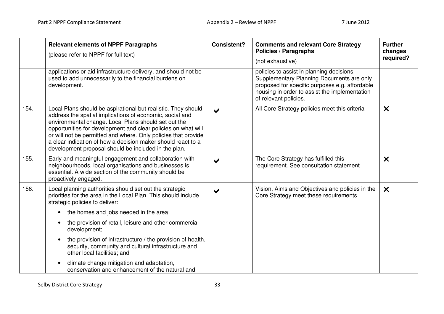|      | <b>Relevant elements of NPPF Paragraphs</b><br>(please refer to NPPF for full text)                                                                                                                                                                                                                                                                                                                                                          | <b>Consistent?</b>    | <b>Comments and relevant Core Strategy</b><br><b>Policies / Paragraphs</b><br>(not exhaustive)                                                                                                                     | <b>Further</b><br>changes<br>required? |
|------|----------------------------------------------------------------------------------------------------------------------------------------------------------------------------------------------------------------------------------------------------------------------------------------------------------------------------------------------------------------------------------------------------------------------------------------------|-----------------------|--------------------------------------------------------------------------------------------------------------------------------------------------------------------------------------------------------------------|----------------------------------------|
|      | applications or aid infrastructure delivery, and should not be<br>used to add unnecessarily to the financial burdens on<br>development.                                                                                                                                                                                                                                                                                                      |                       | policies to assist in planning decisions.<br>Supplementary Planning Documents are only<br>proposed for specific purposes e.g. affordable<br>housing in order to assist the implementation<br>of relevant policies. |                                        |
| 154. | Local Plans should be aspirational but realistic. They should<br>address the spatial implications of economic, social and<br>environmental change. Local Plans should set out the<br>opportunities for development and clear policies on what will<br>or will not be permitted and where. Only policies that provide<br>a clear indication of how a decision maker should react to a<br>development proposal should be included in the plan. | $\blacktriangleright$ | All Core Strategy policies meet this criteria                                                                                                                                                                      | $\boldsymbol{\mathsf{X}}$              |
| 155. | Early and meaningful engagement and collaboration with<br>neighbourhoods, local organisations and businesses is<br>essential. A wide section of the community should be<br>proactively engaged.                                                                                                                                                                                                                                              | $\blacktriangleright$ | The Core Strategy has fulfilled this<br>requirement. See consultation statement                                                                                                                                    | $\boldsymbol{\mathsf{x}}$              |
| 156. | Local planning authorities should set out the strategic<br>priorities for the area in the Local Plan. This should include<br>strategic policies to deliver:                                                                                                                                                                                                                                                                                  |                       | Vision, Aims and Objectives and policies in the<br>Core Strategy meet these requirements.                                                                                                                          | $\boldsymbol{\mathsf{x}}$              |
|      | the homes and jobs needed in the area;<br>$\bullet$<br>the provision of retail, leisure and other commercial<br>$\bullet$<br>development;                                                                                                                                                                                                                                                                                                    |                       |                                                                                                                                                                                                                    |                                        |
|      | the provision of infrastructure / the provision of health,<br>$\bullet$<br>security, community and cultural infrastructure and<br>other local facilities; and                                                                                                                                                                                                                                                                                |                       |                                                                                                                                                                                                                    |                                        |
|      | climate change mitigation and adaptation,<br>conservation and enhancement of the natural and                                                                                                                                                                                                                                                                                                                                                 |                       |                                                                                                                                                                                                                    |                                        |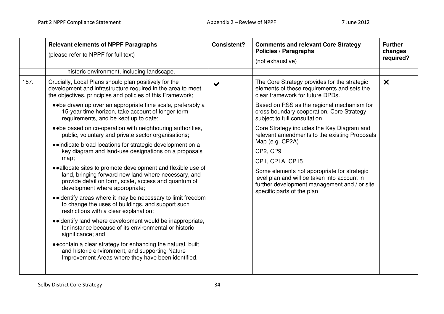|      | <b>Relevant elements of NPPF Paragraphs</b><br>(please refer to NPPF for full text)                                                                                                                           | <b>Consistent?</b>    | <b>Comments and relevant Core Strategy</b><br><b>Policies / Paragraphs</b><br>(not exhaustive)                                                                            | <b>Further</b><br>changes<br>required? |
|------|---------------------------------------------------------------------------------------------------------------------------------------------------------------------------------------------------------------|-----------------------|---------------------------------------------------------------------------------------------------------------------------------------------------------------------------|----------------------------------------|
|      | historic environment, including landscape.                                                                                                                                                                    |                       |                                                                                                                                                                           |                                        |
| 157. | Crucially, Local Plans should plan positively for the<br>development and infrastructure required in the area to meet<br>the objectives, principles and policies of this Framework;                            | $\blacktriangleright$ | The Core Strategy provides for the strategic<br>elements of these requirements and sets the<br>clear framework for future DPDs.                                           | $\boldsymbol{\times}$                  |
|      | • • be drawn up over an appropriate time scale, preferably a<br>15-year time horizon, take account of longer term<br>requirements, and be kept up to date;                                                    |                       | Based on RSS as the regional mechanism for<br>cross boundary cooperation. Core Strategy<br>subject to full consultation.                                                  |                                        |
|      | • • be based on co-operation with neighbouring authorities,<br>public, voluntary and private sector organisations;                                                                                            |                       | Core Strategy includes the Key Diagram and<br>relevant amendments to the existing Proposals                                                                               |                                        |
|      | • indicate broad locations for strategic development on a<br>key diagram and land-use designations on a proposals<br>map;                                                                                     |                       | Map (e.g. CP2A)<br>CP2, CP9<br>CP1, CP1A, CP15                                                                                                                            |                                        |
|      | • allocate sites to promote development and flexible use of<br>land, bringing forward new land where necessary, and<br>provide detail on form, scale, access and quantum of<br>development where appropriate; |                       | Some elements not appropriate for strategic<br>level plan and will be taken into account in<br>further development management and / or site<br>specific parts of the plan |                                        |
|      | • identify areas where it may be necessary to limit freedom<br>to change the uses of buildings, and support such<br>restrictions with a clear explanation;                                                    |                       |                                                                                                                                                                           |                                        |
|      | • identify land where development would be inappropriate,<br>for instance because of its environmental or historic<br>significance; and                                                                       |                       |                                                                                                                                                                           |                                        |
|      | • contain a clear strategy for enhancing the natural, built<br>and historic environment, and supporting Nature<br>Improvement Areas where they have been identified.                                          |                       |                                                                                                                                                                           |                                        |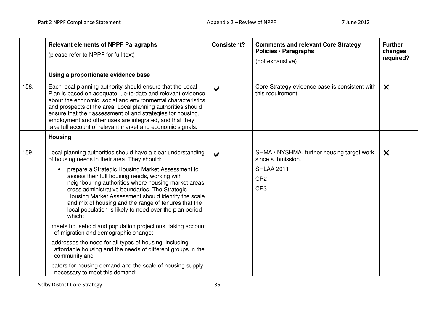|      | <b>Relevant elements of NPPF Paragraphs</b><br>(please refer to NPPF for full text)                                                                                                                                                                                                                                                                                                                                                                                                                                                                                                                                                                                                                                                                                                                                                                           | <b>Consistent?</b>    | <b>Comments and relevant Core Strategy</b><br><b>Policies / Paragraphs</b><br>(not exhaustive)                             | <b>Further</b><br>changes<br>required? |
|------|---------------------------------------------------------------------------------------------------------------------------------------------------------------------------------------------------------------------------------------------------------------------------------------------------------------------------------------------------------------------------------------------------------------------------------------------------------------------------------------------------------------------------------------------------------------------------------------------------------------------------------------------------------------------------------------------------------------------------------------------------------------------------------------------------------------------------------------------------------------|-----------------------|----------------------------------------------------------------------------------------------------------------------------|----------------------------------------|
|      | Using a proportionate evidence base                                                                                                                                                                                                                                                                                                                                                                                                                                                                                                                                                                                                                                                                                                                                                                                                                           |                       |                                                                                                                            |                                        |
| 158. | Each local planning authority should ensure that the Local<br>Plan is based on adequate, up-to-date and relevant evidence<br>about the economic, social and environmental characteristics<br>and prospects of the area. Local planning authorities should<br>ensure that their assessment of and strategies for housing,<br>employment and other uses are integrated, and that they<br>take full account of relevant market and economic signals.                                                                                                                                                                                                                                                                                                                                                                                                             | $\blacktriangleright$ | Core Strategy evidence base is consistent with<br>this requirement                                                         | $\boldsymbol{\times}$                  |
|      | <b>Housing</b>                                                                                                                                                                                                                                                                                                                                                                                                                                                                                                                                                                                                                                                                                                                                                                                                                                                |                       |                                                                                                                            |                                        |
| 159. | Local planning authorities should have a clear understanding<br>of housing needs in their area. They should:<br>prepare a Strategic Housing Market Assessment to<br>assess their full housing needs, working with<br>neighbouring authorities where housing market areas<br>cross administrative boundaries. The Strategic<br>Housing Market Assessment should identify the scale<br>and mix of housing and the range of tenures that the<br>local population is likely to need over the plan period<br>which:<br>meets household and population projections, taking account<br>of migration and demographic change;<br>addresses the need for all types of housing, including<br>affordable housing and the needs of different groups in the<br>community and<br>caters for housing demand and the scale of housing supply<br>necessary to meet this demand; | $\blacktriangleright$ | SHMA / NYSHMA, further housing target work<br>since submission.<br><b>SHLAA 2011</b><br>CP <sub>2</sub><br>CP <sub>3</sub> | $\boldsymbol{\times}$                  |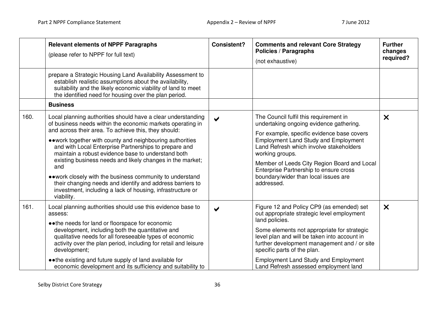|      | <b>Relevant elements of NPPF Paragraphs</b><br>(please refer to NPPF for full text)                                                                                                                                                                                                                                                                                                                                                                | <b>Consistent?</b>    | <b>Comments and relevant Core Strategy</b><br><b>Policies / Paragraphs</b><br>(not exhaustive)                                                                                                                                                                                                         | <b>Further</b><br>changes<br>required? |
|------|----------------------------------------------------------------------------------------------------------------------------------------------------------------------------------------------------------------------------------------------------------------------------------------------------------------------------------------------------------------------------------------------------------------------------------------------------|-----------------------|--------------------------------------------------------------------------------------------------------------------------------------------------------------------------------------------------------------------------------------------------------------------------------------------------------|----------------------------------------|
|      | prepare a Strategic Housing Land Availability Assessment to<br>establish realistic assumptions about the availability,<br>suitability and the likely economic viability of land to meet<br>the identified need for housing over the plan period.                                                                                                                                                                                                   |                       |                                                                                                                                                                                                                                                                                                        |                                        |
|      | <b>Business</b>                                                                                                                                                                                                                                                                                                                                                                                                                                    |                       |                                                                                                                                                                                                                                                                                                        |                                        |
| 160. | Local planning authorities should have a clear understanding<br>of business needs within the economic markets operating in<br>and across their area. To achieve this, they should:                                                                                                                                                                                                                                                                 | $\blacktriangleright$ | The Council fulfil this requirement in<br>undertaking ongoing evidence gathering.                                                                                                                                                                                                                      | $\boldsymbol{\mathsf{x}}$              |
|      | • • work together with county and neighbouring authorities<br>and with Local Enterprise Partnerships to prepare and<br>maintain a robust evidence base to understand both<br>existing business needs and likely changes in the market;<br>and<br>• work closely with the business community to understand<br>their changing needs and identify and address barriers to<br>investment, including a lack of housing, infrastructure or<br>viability. |                       | For example, specific evidence base covers<br><b>Employment Land Study and Employment</b><br>Land Refresh which involve stakeholders<br>working groups.<br>Member of Leeds City Region Board and Local<br>Enterprise Partnership to ensure cross<br>boundary/wider than local issues are<br>addressed. |                                        |
| 161. | Local planning authorities should use this evidence base to<br>assess:<br>• the needs for land or floorspace for economic<br>development, including both the quantitative and<br>qualitative needs for all foreseeable types of economic<br>activity over the plan period, including for retail and leisure<br>development;                                                                                                                        | $\blacktriangleright$ | Figure 12 and Policy CP9 (as emended) set<br>out appropriate strategic level employment<br>land policies.<br>Some elements not appropriate for strategic<br>level plan and will be taken into account in<br>further development management and / or site<br>specific parts of the plan.                | $\boldsymbol{\mathsf{x}}$              |
|      | • • the existing and future supply of land available for<br>economic development and its sufficiency and suitability to                                                                                                                                                                                                                                                                                                                            |                       | <b>Employment Land Study and Employment</b><br>Land Refresh assessed employment land                                                                                                                                                                                                                   |                                        |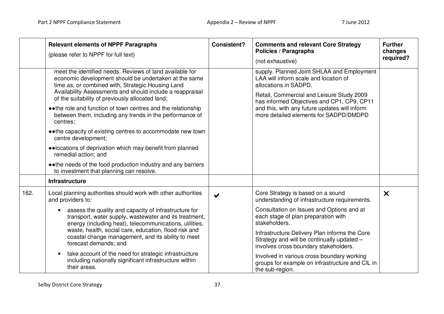|      | <b>Relevant elements of NPPF Paragraphs</b><br>(please refer to NPPF for full text)                                                                                                                                                                                                                                                                                                                                                                                                                                                                                                                                                                                           | <b>Consistent?</b>    | <b>Comments and relevant Core Strategy</b><br>Policies / Paragraphs<br>(not exhaustive)                                                                                                                                                                                                                                                                                                                                                             | <b>Further</b><br>changes<br>required? |
|------|-------------------------------------------------------------------------------------------------------------------------------------------------------------------------------------------------------------------------------------------------------------------------------------------------------------------------------------------------------------------------------------------------------------------------------------------------------------------------------------------------------------------------------------------------------------------------------------------------------------------------------------------------------------------------------|-----------------------|-----------------------------------------------------------------------------------------------------------------------------------------------------------------------------------------------------------------------------------------------------------------------------------------------------------------------------------------------------------------------------------------------------------------------------------------------------|----------------------------------------|
|      | meet the identified needs. Reviews of land available for<br>economic development should be undertaken at the same<br>time as, or combined with, Strategic Housing Land<br>Availability Assessments and should include a reappraisal<br>of the suitability of previously allocated land;<br>• • the role and function of town centres and the relationship<br>between them, including any trends in the performance of<br>centres:<br>• • the capacity of existing centres to accommodate new town<br>centre development;<br>• locations of deprivation which may benefit from planned<br>remedial action; and<br>• the needs of the food production industry and any barriers |                       | supply. Planned Joint SHLAA and Employment<br>LAA will inform scale and location of<br>allocations in SADPD.<br>Retail, Commercial and Leisure Study 2009<br>has informed Objectives and CP1, CP9, CP11<br>and this, with any future updates will inform<br>more detailed elements for SADPD/DMDPD                                                                                                                                                  |                                        |
|      | to investment that planning can resolve.<br><b>Infrastructure</b>                                                                                                                                                                                                                                                                                                                                                                                                                                                                                                                                                                                                             |                       |                                                                                                                                                                                                                                                                                                                                                                                                                                                     |                                        |
| 162. | Local planning authorities should work with other authorities<br>and providers to:<br>assess the quality and capacity of infrastructure for<br>transport, water supply, wastewater and its treatment,<br>energy (including heat), telecommunications, utilities,<br>waste, health, social care, education, flood risk and<br>coastal change management, and its ability to meet<br>forecast demands; and<br>take account of the need for strategic infrastructure<br>$\bullet$<br>including nationally significant infrastructure within<br>their areas.                                                                                                                      | $\blacktriangleright$ | Core Strategy is based on a sound<br>understanding of infrastructure requirements.<br>Consultation on Issues and Options and at<br>each stage of plan preparation with<br>stakeholders.<br>Infrastructure Delivery Plan informs the Core<br>Strategy and will be continually updated -<br>involves cross boundary stakeholders.<br>Involved in various cross boundary working<br>groups for example on infrastructure and CIL in<br>the sub-region. | $\boldsymbol{\times}$                  |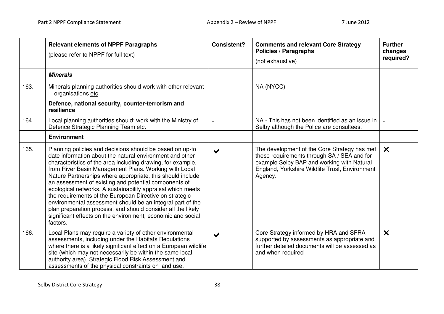|      | <b>Relevant elements of NPPF Paragraphs</b><br>(please refer to NPPF for full text)                                                                                                                                                                                                                                                                                                                                                                                                                                                                                                                                                                                                                    | <b>Consistent?</b>    | <b>Comments and relevant Core Strategy</b><br><b>Policies / Paragraphs</b><br>(not exhaustive)                                                                                                         | <b>Further</b><br>changes<br>required? |
|------|--------------------------------------------------------------------------------------------------------------------------------------------------------------------------------------------------------------------------------------------------------------------------------------------------------------------------------------------------------------------------------------------------------------------------------------------------------------------------------------------------------------------------------------------------------------------------------------------------------------------------------------------------------------------------------------------------------|-----------------------|--------------------------------------------------------------------------------------------------------------------------------------------------------------------------------------------------------|----------------------------------------|
|      | <b>Minerals</b>                                                                                                                                                                                                                                                                                                                                                                                                                                                                                                                                                                                                                                                                                        |                       |                                                                                                                                                                                                        |                                        |
| 163. | Minerals planning authorities should work with other relevant<br>organisations etc.                                                                                                                                                                                                                                                                                                                                                                                                                                                                                                                                                                                                                    |                       | NA (NYCC)                                                                                                                                                                                              |                                        |
|      | Defence, national security, counter-terrorism and<br>resilience                                                                                                                                                                                                                                                                                                                                                                                                                                                                                                                                                                                                                                        |                       |                                                                                                                                                                                                        |                                        |
| 164. | Local planning authorities should: work with the Ministry of<br>Defence Strategic Planning Team etc.                                                                                                                                                                                                                                                                                                                                                                                                                                                                                                                                                                                                   |                       | NA - This has not been identified as an issue in<br>Selby although the Police are consultees.                                                                                                          |                                        |
|      | <b>Environment</b>                                                                                                                                                                                                                                                                                                                                                                                                                                                                                                                                                                                                                                                                                     |                       |                                                                                                                                                                                                        |                                        |
| 165. | Planning policies and decisions should be based on up-to<br>date information about the natural environment and other<br>characteristics of the area including drawing, for example,<br>from River Basin Management Plans. Working with Local<br>Nature Partnerships where appropriate, this should include<br>an assessment of existing and potential components of<br>ecological networks. A sustainability appraisal which meets<br>the requirements of the European Directive on strategic<br>environmental assessment should be an integral part of the<br>plan preparation process, and should consider all the likely<br>significant effects on the environment, economic and social<br>factors. | ✔                     | The development of the Core Strategy has met<br>these requirements through SA / SEA and for<br>example Selby BAP and working with Natural<br>England, Yorkshire Wildlife Trust, Environment<br>Agency. | $\boldsymbol{\mathsf{x}}$              |
| 166. | Local Plans may require a variety of other environmental<br>assessments, including under the Habitats Regulations<br>where there is a likely significant effect on a European wildlife<br>site (which may not necessarily be within the same local<br>authority area), Strategic Flood Risk Assessment and<br>assessments of the physical constraints on land use.                                                                                                                                                                                                                                                                                                                                     | $\blacktriangleright$ | Core Strategy informed by HRA and SFRA<br>supported by assessments as appropriate and<br>further detailed documents will be assessed as<br>and when required                                           | $\boldsymbol{\times}$                  |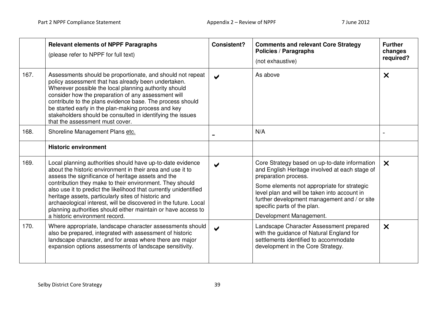|      | <b>Relevant elements of NPPF Paragraphs</b><br>(please refer to NPPF for full text)                                                                                                                                                                                                                                                                                                                                                                                                                                                           | <b>Consistent?</b>    | <b>Comments and relevant Core Strategy</b><br><b>Policies / Paragraphs</b><br>(not exhaustive)                                                                                                                                                                                                                                   | <b>Further</b><br>changes<br>required? |
|------|-----------------------------------------------------------------------------------------------------------------------------------------------------------------------------------------------------------------------------------------------------------------------------------------------------------------------------------------------------------------------------------------------------------------------------------------------------------------------------------------------------------------------------------------------|-----------------------|----------------------------------------------------------------------------------------------------------------------------------------------------------------------------------------------------------------------------------------------------------------------------------------------------------------------------------|----------------------------------------|
| 167. | Assessments should be proportionate, and should not repeat<br>policy assessment that has already been undertaken.<br>Wherever possible the local planning authority should<br>consider how the preparation of any assessment will<br>contribute to the plans evidence base. The process should<br>be started early in the plan-making process and key<br>stakeholders should be consulted in identifying the issues<br>that the assessment must cover.                                                                                        | $\blacktriangleright$ | As above                                                                                                                                                                                                                                                                                                                         | $\boldsymbol{\mathsf{X}}$              |
| 168. | Shoreline Management Plans etc.                                                                                                                                                                                                                                                                                                                                                                                                                                                                                                               |                       | N/A                                                                                                                                                                                                                                                                                                                              |                                        |
|      | <b>Historic environment</b>                                                                                                                                                                                                                                                                                                                                                                                                                                                                                                                   |                       |                                                                                                                                                                                                                                                                                                                                  |                                        |
| 169. | Local planning authorities should have up-to-date evidence<br>about the historic environment in their area and use it to<br>assess the significance of heritage assets and the<br>contribution they make to their environment. They should<br>also use it to predict the likelihood that currently unidentified<br>heritage assets, particularly sites of historic and<br>archaeological interest, will be discovered in the future. Local<br>planning authorities should either maintain or have access to<br>a historic environment record. |                       | Core Strategy based on up-to-date information<br>and English Heritage involved at each stage of<br>preparation process.<br>Some elements not appropriate for strategic<br>level plan and will be taken into account in<br>further development management and / or site<br>specific parts of the plan.<br>Development Management. | $\boldsymbol{\mathsf{x}}$              |
| 170. | Where appropriate, landscape character assessments should<br>also be prepared, integrated with assessment of historic<br>landscape character, and for areas where there are major<br>expansion options assessments of landscape sensitivity.                                                                                                                                                                                                                                                                                                  | $\blacktriangleright$ | Landscape Character Assessment prepared<br>with the guidance of Natural England for<br>settlements identified to accommodate<br>development in the Core Strategy.                                                                                                                                                                | $\boldsymbol{\times}$                  |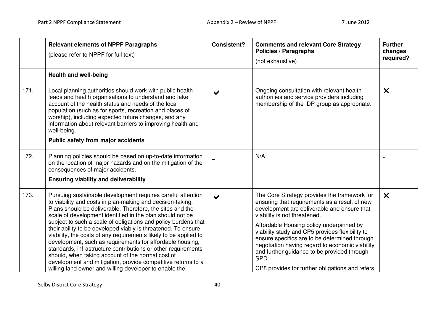|      | <b>Relevant elements of NPPF Paragraphs</b><br>(please refer to NPPF for full text)                                                                                                                                                                                                                                                                                                                                                                                                                                                                                                                                                                                                                                                                                     | <b>Consistent?</b>    | <b>Comments and relevant Core Strategy</b><br><b>Policies / Paragraphs</b><br>(not exhaustive)                                                                                                                                                                                                                                                                                                                                                                                            | <b>Further</b><br>changes<br>required? |
|------|-------------------------------------------------------------------------------------------------------------------------------------------------------------------------------------------------------------------------------------------------------------------------------------------------------------------------------------------------------------------------------------------------------------------------------------------------------------------------------------------------------------------------------------------------------------------------------------------------------------------------------------------------------------------------------------------------------------------------------------------------------------------------|-----------------------|-------------------------------------------------------------------------------------------------------------------------------------------------------------------------------------------------------------------------------------------------------------------------------------------------------------------------------------------------------------------------------------------------------------------------------------------------------------------------------------------|----------------------------------------|
|      | <b>Health and well-being</b>                                                                                                                                                                                                                                                                                                                                                                                                                                                                                                                                                                                                                                                                                                                                            |                       |                                                                                                                                                                                                                                                                                                                                                                                                                                                                                           |                                        |
| 171. | Local planning authorities should work with public health<br>leads and health organisations to understand and take<br>account of the health status and needs of the local<br>population (such as for sports, recreation and places of<br>worship), including expected future changes, and any<br>information about relevant barriers to improving health and<br>well-being.                                                                                                                                                                                                                                                                                                                                                                                             | $\blacktriangledown$  | Ongoing consultation with relevant health<br>authorities and service providers including<br>membership of the IDP group as appropriate.                                                                                                                                                                                                                                                                                                                                                   | $\boldsymbol{\mathsf{x}}$              |
|      | <b>Public safety from major accidents</b>                                                                                                                                                                                                                                                                                                                                                                                                                                                                                                                                                                                                                                                                                                                               |                       |                                                                                                                                                                                                                                                                                                                                                                                                                                                                                           |                                        |
| 172. | Planning policies should be based on up-to-date information<br>on the location of major hazards and on the mitigation of the<br>consequences of major accidents.                                                                                                                                                                                                                                                                                                                                                                                                                                                                                                                                                                                                        |                       | N/A                                                                                                                                                                                                                                                                                                                                                                                                                                                                                       |                                        |
|      | <b>Ensuring viability and deliverability</b>                                                                                                                                                                                                                                                                                                                                                                                                                                                                                                                                                                                                                                                                                                                            |                       |                                                                                                                                                                                                                                                                                                                                                                                                                                                                                           |                                        |
| 173. | Pursuing sustainable development requires careful attention<br>to viability and costs in plan-making and decision-taking.<br>Plans should be deliverable. Therefore, the sites and the<br>scale of development identified in the plan should not be<br>subject to such a scale of obligations and policy burdens that<br>their ability to be developed viably is threatened. To ensure<br>viability, the costs of any requirements likely to be applied to<br>development, such as requirements for affordable housing,<br>standards, infrastructure contributions or other requirements<br>should, when taking account of the normal cost of<br>development and mitigation, provide competitive returns to a<br>willing land owner and willing developer to enable the | $\blacktriangleright$ | The Core Strategy provides the framework for<br>ensuring that requirements as a result of new<br>development are deliverable and ensure that<br>viability is not threatened.<br>Affordable Housing policy underpinned by<br>viability study and CP5 provides flexibility to<br>ensure specifics are to be determined through<br>negotiation having regard to economic viability<br>and further guidance to be provided through<br>SPD.<br>CP8 provides for further obligations and refers | $\boldsymbol{\times}$                  |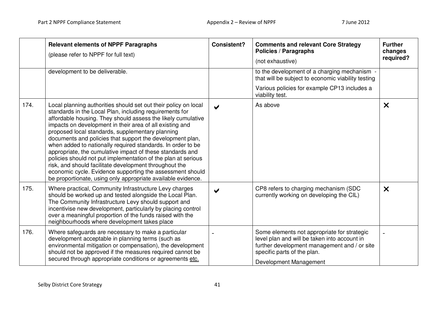|      | <b>Relevant elements of NPPF Paragraphs</b><br>(please refer to NPPF for full text)<br>development to be deliverable.                                                                                                                                                                                                                                                                                                                                                                                                                                                                                                                                                                                                                                       | <b>Consistent?</b>   | <b>Comments and relevant Core Strategy</b><br><b>Policies / Paragraphs</b><br>(not exhaustive)<br>to the development of a charging mechanism -                                                       | <b>Further</b><br>changes<br>required? |
|------|-------------------------------------------------------------------------------------------------------------------------------------------------------------------------------------------------------------------------------------------------------------------------------------------------------------------------------------------------------------------------------------------------------------------------------------------------------------------------------------------------------------------------------------------------------------------------------------------------------------------------------------------------------------------------------------------------------------------------------------------------------------|----------------------|------------------------------------------------------------------------------------------------------------------------------------------------------------------------------------------------------|----------------------------------------|
|      |                                                                                                                                                                                                                                                                                                                                                                                                                                                                                                                                                                                                                                                                                                                                                             |                      | that will be subject to economic viability testing<br>Various policies for example CP13 includes a                                                                                                   |                                        |
|      |                                                                                                                                                                                                                                                                                                                                                                                                                                                                                                                                                                                                                                                                                                                                                             |                      | viability test.                                                                                                                                                                                      |                                        |
| 174. | Local planning authorities should set out their policy on local<br>standards in the Local Plan, including requirements for<br>affordable housing. They should assess the likely cumulative<br>impacts on development in their area of all existing and<br>proposed local standards, supplementary planning<br>documents and policies that support the development plan,<br>when added to nationally required standards. In order to be<br>appropriate, the cumulative impact of these standards and<br>policies should not put implementation of the plan at serious<br>risk, and should facilitate development throughout the<br>economic cycle. Evidence supporting the assessment should<br>be proportionate, using only appropriate available evidence. | $\blacktriangledown$ | As above                                                                                                                                                                                             | $\boldsymbol{\mathsf{x}}$              |
| 175. | Where practical, Community Infrastructure Levy charges<br>should be worked up and tested alongside the Local Plan.<br>The Community Infrastructure Levy should support and<br>incentivise new development, particularly by placing control<br>over a meaningful proportion of the funds raised with the<br>neighbourhoods where development takes place                                                                                                                                                                                                                                                                                                                                                                                                     |                      | CP8 refers to charging mechanism (SDC<br>currently working on developing the CIL)                                                                                                                    | $\boldsymbol{\mathsf{X}}$              |
| 176. | Where safeguards are necessary to make a particular<br>development acceptable in planning terms (such as<br>environmental mitigation or compensation), the development<br>should not be approved if the measures required cannot be<br>secured through appropriate conditions or agreements etc.                                                                                                                                                                                                                                                                                                                                                                                                                                                            |                      | Some elements not appropriate for strategic<br>level plan and will be taken into account in<br>further development management and / or site<br>specific parts of the plan.<br>Development Management |                                        |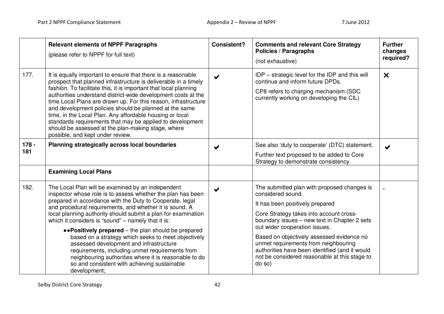|                | <b>Relevant elements of NPPF Paragraphs</b><br>(please refer to NPPF for full text)                                                                                                                                                                                                                                                                                                                                                                                                                                                                                                                                                                                                                  | <b>Consistent?</b>    | <b>Comments and relevant Core Strategy</b><br><b>Policies / Paragraphs</b><br>(not exhaustive)                                                                                                                                                                                                                                                                                                                                    | <b>Further</b><br>changes<br>required? |
|----------------|------------------------------------------------------------------------------------------------------------------------------------------------------------------------------------------------------------------------------------------------------------------------------------------------------------------------------------------------------------------------------------------------------------------------------------------------------------------------------------------------------------------------------------------------------------------------------------------------------------------------------------------------------------------------------------------------------|-----------------------|-----------------------------------------------------------------------------------------------------------------------------------------------------------------------------------------------------------------------------------------------------------------------------------------------------------------------------------------------------------------------------------------------------------------------------------|----------------------------------------|
| 177.           | It is equally important to ensure that there is a reasonable<br>prospect that planned infrastructure is deliverable in a timely<br>fashion. To facilitate this, it is important that local planning<br>authorities understand district-wide development costs at the<br>time Local Plans are drawn up. For this reason, infrastructure<br>and development policies should be planned at the same<br>time, in the Local Plan. Any affordable housing or local<br>standards requirements that may be applied to development<br>should be assessed at the plan-making stage, where<br>possible, and kept under review.                                                                                  | $\blacktriangleright$ | IDP – strategic level for the IDP and this will<br>continue and inform future DPDs.<br>CP8 refers to charging mechanism (SDC<br>currently working on developing the CIL)                                                                                                                                                                                                                                                          | $\boldsymbol{\times}$                  |
| $178 -$<br>181 | Planning strategically across local boundaries                                                                                                                                                                                                                                                                                                                                                                                                                                                                                                                                                                                                                                                       | $\blacktriangleright$ | See also 'duty to cooperate' (DTC) statement.<br>Further text proposed to be added to Core<br>Strategy to demonstrate consistency.                                                                                                                                                                                                                                                                                                | ✔                                      |
|                | <b>Examining Local Plans</b>                                                                                                                                                                                                                                                                                                                                                                                                                                                                                                                                                                                                                                                                         |                       |                                                                                                                                                                                                                                                                                                                                                                                                                                   |                                        |
| 182.           | The Local Plan will be examined by an independent<br>inspector whose role is to assess whether the plan has been<br>prepared in accordance with the Duty to Cooperate, legal<br>and procedural requirements, and whether it is sound. A<br>local planning authority should submit a plan for examination<br>which it considers is "sound" - namely that it is:<br>•• Positively prepared – the plan should be prepared<br>based on a strategy which seeks to meet objectively<br>assessed development and infrastructure<br>requirements, including unmet requirements from<br>neighbouring authorities where it is reasonable to do<br>so and consistent with achieving sustainable<br>development; |                       | The submitted plan with proposed changes is<br>considered sound.<br>It has been positively prepared<br>Core Strategy takes into account cross-<br>boundary issues - new text in Chapter 2 sets<br>out wider cooperation issues.<br>Based on objectively assessed evidence no<br>unmet requirements from neighbouring<br>authorities have been identified (and it would<br>not be considered reasonable at this stage to<br>do so) |                                        |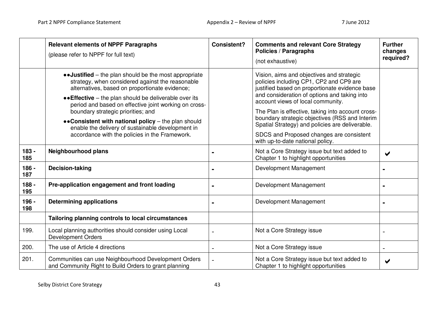|                | <b>Relevant elements of NPPF Paragraphs</b><br>(please refer to NPPF for full text)                                                                                                                                                                                            | <b>Consistent?</b> | <b>Comments and relevant Core Strategy</b><br><b>Policies / Paragraphs</b><br>(not exhaustive)                                                                                                                                         | <b>Further</b><br>changes<br>required? |
|----------------|--------------------------------------------------------------------------------------------------------------------------------------------------------------------------------------------------------------------------------------------------------------------------------|--------------------|----------------------------------------------------------------------------------------------------------------------------------------------------------------------------------------------------------------------------------------|----------------------------------------|
|                | • Justified – the plan should be the most appropriate<br>strategy, when considered against the reasonable<br>alternatives, based on proportionate evidence;<br>•• Effective – the plan should be deliverable over its<br>period and based on effective joint working on cross- |                    | Vision, aims and objectives and strategic<br>policies including CP1, CP2 and CP9 are<br>justified based on proportionate evidence base<br>and consideration of options and taking into<br>account views of local community.            |                                        |
|                | boundary strategic priorities; and<br>•• Consistent with national policy – the plan should<br>enable the delivery of sustainable development in<br>accordance with the policies in the Framework.                                                                              |                    | The Plan is effective, taking into account cross-<br>boundary strategic objectives (RSS and Interim<br>Spatial Strategy) and policies are deliverable.<br>SDCS and Proposed changes are consistent<br>with up-to-date national policy. |                                        |
| $183 -$<br>185 | <b>Neighbourhood plans</b>                                                                                                                                                                                                                                                     |                    | Not a Core Strategy issue but text added to<br>Chapter 1 to highlight opportunities                                                                                                                                                    | ✔                                      |
| $186 -$<br>187 | <b>Decision-taking</b>                                                                                                                                                                                                                                                         |                    | Development Management                                                                                                                                                                                                                 |                                        |
| $188 -$<br>195 | Pre-application engagement and front loading                                                                                                                                                                                                                                   |                    | Development Management                                                                                                                                                                                                                 |                                        |
| 196 -<br>198   | <b>Determining applications</b>                                                                                                                                                                                                                                                |                    | Development Management                                                                                                                                                                                                                 |                                        |
|                | Tailoring planning controls to local circumstances                                                                                                                                                                                                                             |                    |                                                                                                                                                                                                                                        |                                        |
| 199.           | Local planning authorities should consider using Local<br><b>Development Orders</b>                                                                                                                                                                                            |                    | Not a Core Strategy issue                                                                                                                                                                                                              |                                        |
| 200.           | The use of Article 4 directions                                                                                                                                                                                                                                                |                    | Not a Core Strategy issue                                                                                                                                                                                                              |                                        |
| 201.           | Communities can use Neighbourhood Development Orders<br>and Community Right to Build Orders to grant planning                                                                                                                                                                  |                    | Not a Core Strategy issue but text added to<br>Chapter 1 to highlight opportunities                                                                                                                                                    | ✔                                      |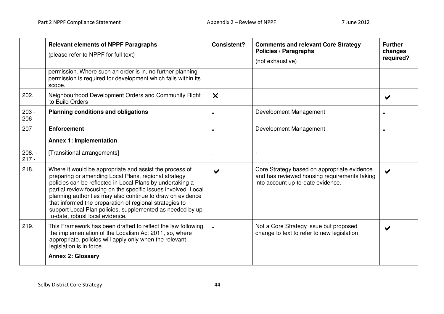|                     | <b>Relevant elements of NPPF Paragraphs</b><br>(please refer to NPPF for full text)                                                                                                                                                                                                                                                                                                                                                                                      | <b>Consistent?</b>    | <b>Comments and relevant Core Strategy</b><br><b>Policies / Paragraphs</b><br>(not exhaustive)                                   | <b>Further</b><br>changes<br>required? |
|---------------------|--------------------------------------------------------------------------------------------------------------------------------------------------------------------------------------------------------------------------------------------------------------------------------------------------------------------------------------------------------------------------------------------------------------------------------------------------------------------------|-----------------------|----------------------------------------------------------------------------------------------------------------------------------|----------------------------------------|
|                     | permission. Where such an order is in, no further planning<br>permission is required for development which falls within its<br>scope.                                                                                                                                                                                                                                                                                                                                    |                       |                                                                                                                                  |                                        |
| 202.                | Neighbourhood Development Orders and Community Right<br>to Build Orders                                                                                                                                                                                                                                                                                                                                                                                                  | $\boldsymbol{\times}$ |                                                                                                                                  |                                        |
| $203 -$<br>206      | <b>Planning conditions and obligations</b>                                                                                                                                                                                                                                                                                                                                                                                                                               |                       | Development Management                                                                                                           |                                        |
| 207                 | <b>Enforcement</b>                                                                                                                                                                                                                                                                                                                                                                                                                                                       |                       | Development Management                                                                                                           |                                        |
|                     | <b>Annex 1: Implementation</b>                                                                                                                                                                                                                                                                                                                                                                                                                                           |                       |                                                                                                                                  |                                        |
| $208. -$<br>$217 -$ | [Transitional arrangements]                                                                                                                                                                                                                                                                                                                                                                                                                                              |                       |                                                                                                                                  |                                        |
| 218.                | Where it would be appropriate and assist the process of<br>preparing or amending Local Plans, regional strategy<br>policies can be reflected in Local Plans by undertaking a<br>partial review focusing on the specific issues involved. Local<br>planning authorities may also continue to draw on evidence<br>that informed the preparation of regional strategies to<br>support Local Plan policies, supplemented as needed by up-<br>to-date, robust local evidence. |                       | Core Strategy based on appropriate evidence<br>and has reviewed housing requirements taking<br>into account up-to-date evidence. |                                        |
| 219.                | This Framework has been drafted to reflect the law following<br>the implementation of the Localism Act 2011, so, where<br>appropriate, policies will apply only when the relevant<br>legislation is in force.                                                                                                                                                                                                                                                            |                       | Not a Core Strategy issue but proposed<br>change to text to refer to new legislation                                             |                                        |
|                     | <b>Annex 2: Glossary</b>                                                                                                                                                                                                                                                                                                                                                                                                                                                 |                       |                                                                                                                                  |                                        |